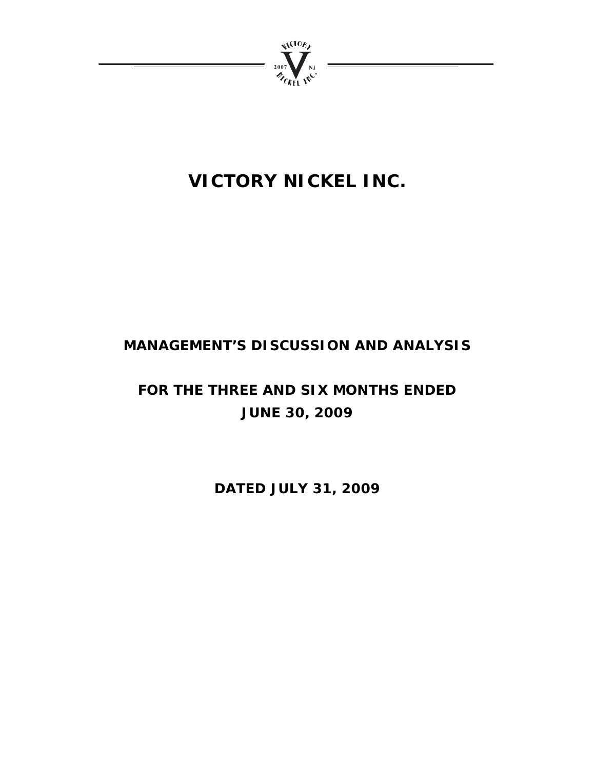

# **VICTORY NICKEL INC.**

# **MANAGEMENT'S DISCUSSION AND ANALYSIS**

# **FOR THE THREE AND SIX MONTHS ENDED JUNE 30, 2009**

**DATED JULY 31, 2009**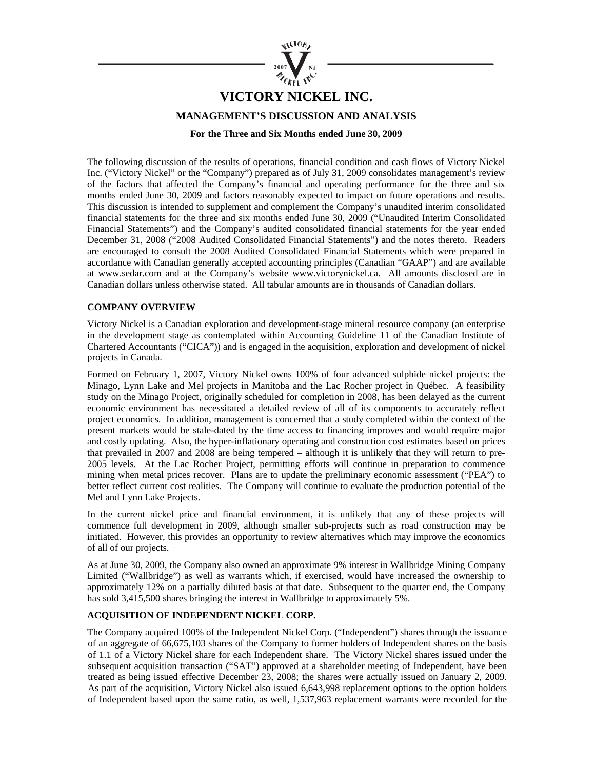

## **VICTORY NICKEL INC.**

**MANAGEMENT'S DISCUSSION AND ANALYSIS** 

**For the Three and Six Months ended June 30, 2009** 

The following discussion of the results of operations, financial condition and cash flows of Victory Nickel Inc. ("Victory Nickel" or the "Company") prepared as of July 31, 2009 consolidates management's review of the factors that affected the Company's financial and operating performance for the three and six months ended June 30, 2009 and factors reasonably expected to impact on future operations and results. This discussion is intended to supplement and complement the Company's unaudited interim consolidated financial statements for the three and six months ended June 30, 2009 ("Unaudited Interim Consolidated Financial Statements") and the Company's audited consolidated financial statements for the year ended December 31, 2008 ("2008 Audited Consolidated Financial Statements") and the notes thereto. Readers are encouraged to consult the 2008 Audited Consolidated Financial Statements which were prepared in accordance with Canadian generally accepted accounting principles (Canadian "GAAP") and are available at www.sedar.com and at the Company's website www.victorynickel.ca. All amounts disclosed are in Canadian dollars unless otherwise stated. All tabular amounts are in thousands of Canadian dollars.

### **COMPANY OVERVIEW**

Victory Nickel is a Canadian exploration and development-stage mineral resource company (an enterprise in the development stage as contemplated within Accounting Guideline 11 of the Canadian Institute of Chartered Accountants ("CICA")) and is engaged in the acquisition, exploration and development of nickel projects in Canada.

Formed on February 1, 2007, Victory Nickel owns 100% of four advanced sulphide nickel projects: the Minago, Lynn Lake and Mel projects in Manitoba and the Lac Rocher project in Québec. A feasibility study on the Minago Project, originally scheduled for completion in 2008, has been delayed as the current economic environment has necessitated a detailed review of all of its components to accurately reflect project economics. In addition, management is concerned that a study completed within the context of the present markets would be stale-dated by the time access to financing improves and would require major and costly updating. Also, the hyper-inflationary operating and construction cost estimates based on prices that prevailed in 2007 and 2008 are being tempered – although it is unlikely that they will return to pre-2005 levels. At the Lac Rocher Project, permitting efforts will continue in preparation to commence mining when metal prices recover. Plans are to update the preliminary economic assessment ("PEA") to better reflect current cost realities. The Company will continue to evaluate the production potential of the Mel and Lynn Lake Projects.

In the current nickel price and financial environment, it is unlikely that any of these projects will commence full development in 2009, although smaller sub-projects such as road construction may be initiated. However, this provides an opportunity to review alternatives which may improve the economics of all of our projects.

As at June 30, 2009, the Company also owned an approximate 9% interest in Wallbridge Mining Company Limited ("Wallbridge") as well as warrants which, if exercised, would have increased the ownership to approximately 12% on a partially diluted basis at that date. Subsequent to the quarter end, the Company has sold 3,415,500 shares bringing the interest in Wallbridge to approximately 5%.

### **ACQUISITION OF INDEPENDENT NICKEL CORP.**

The Company acquired 100% of the Independent Nickel Corp. ("Independent") shares through the issuance of an aggregate of 66,675,103 shares of the Company to former holders of Independent shares on the basis of 1.1 of a Victory Nickel share for each Independent share. The Victory Nickel shares issued under the subsequent acquisition transaction ("SAT") approved at a shareholder meeting of Independent, have been treated as being issued effective December 23, 2008; the shares were actually issued on January 2, 2009. As part of the acquisition, Victory Nickel also issued 6,643,998 replacement options to the option holders of Independent based upon the same ratio, as well, 1,537,963 replacement warrants were recorded for the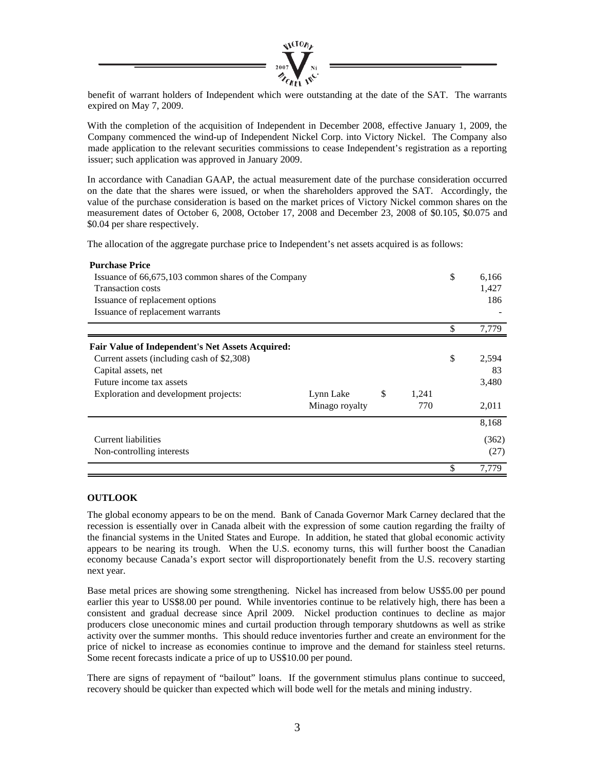

benefit of warrant holders of Independent which were outstanding at the date of the SAT. The warrants expired on May 7, 2009.

With the completion of the acquisition of Independent in December 2008, effective January 1, 2009, the Company commenced the wind-up of Independent Nickel Corp. into Victory Nickel. The Company also made application to the relevant securities commissions to cease Independent's registration as a reporting issuer; such application was approved in January 2009.

In accordance with Canadian GAAP, the actual measurement date of the purchase consideration occurred on the date that the shares were issued, or when the shareholders approved the SAT. Accordingly, the value of the purchase consideration is based on the market prices of Victory Nickel common shares on the measurement dates of October 6, 2008, October 17, 2008 and December 23, 2008 of \$0.105, \$0.075 and \$0.04 per share respectively.

The allocation of the aggregate purchase price to Independent's net assets acquired is as follows:

| <b>Purchase Price</b>                                   |                |             |             |
|---------------------------------------------------------|----------------|-------------|-------------|
| Issuance of 66,675,103 common shares of the Company     |                |             | \$<br>6,166 |
| <b>Transaction costs</b>                                |                |             | 1,427       |
| Issuance of replacement options                         |                |             | 186         |
| Issuance of replacement warrants                        |                |             |             |
|                                                         |                |             | \$<br>7,779 |
| <b>Fair Value of Independent's Net Assets Acquired:</b> |                |             |             |
| Current assets (including cash of \$2,308)              |                |             | \$<br>2,594 |
| Capital assets, net                                     |                |             | 83          |
| Future income tax assets                                |                |             | 3,480       |
| Exploration and development projects:                   | Lynn Lake      | \$<br>1,241 |             |
|                                                         | Minago royalty | 770         | 2,011       |
|                                                         |                |             | 8,168       |
| Current liabilities                                     |                |             | (362)       |
| Non-controlling interests                               |                |             | (27)        |
|                                                         |                |             | \$<br>7,779 |

### **OUTLOOK**

The global economy appears to be on the mend. Bank of Canada Governor Mark Carney declared that the recession is essentially over in Canada albeit with the expression of some caution regarding the frailty of the financial systems in the United States and Europe. In addition, he stated that global economic activity appears to be nearing its trough. When the U.S. economy turns, this will further boost the Canadian economy because Canada's export sector will disproportionately benefit from the U.S. recovery starting next year.

Base metal prices are showing some strengthening. Nickel has increased from below US\$5.00 per pound earlier this year to US\$8.00 per pound. While inventories continue to be relatively high, there has been a consistent and gradual decrease since April 2009. Nickel production continues to decline as major producers close uneconomic mines and curtail production through temporary shutdowns as well as strike activity over the summer months. This should reduce inventories further and create an environment for the price of nickel to increase as economies continue to improve and the demand for stainless steel returns. Some recent forecasts indicate a price of up to US\$10.00 per pound.

There are signs of repayment of "bailout" loans. If the government stimulus plans continue to succeed, recovery should be quicker than expected which will bode well for the metals and mining industry.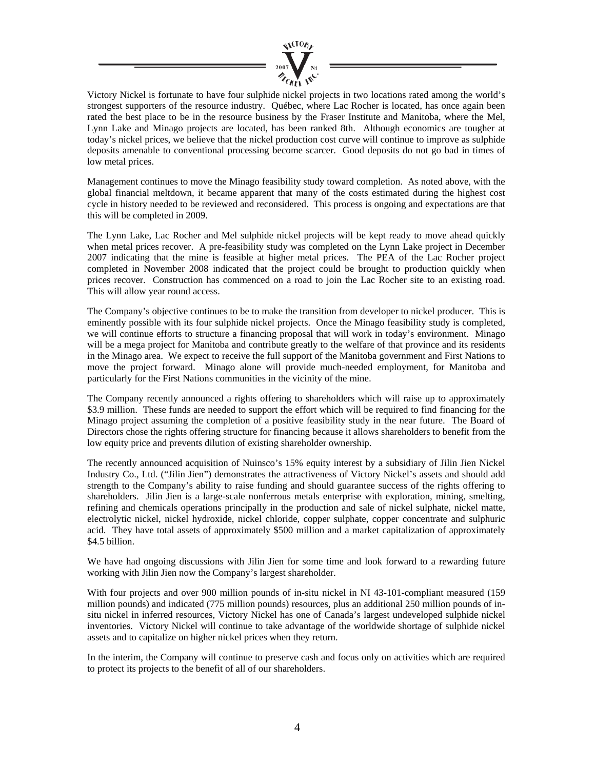

Victory Nickel is fortunate to have four sulphide nickel projects in two locations rated among the world's strongest supporters of the resource industry. Québec, where Lac Rocher is located, has once again been rated the best place to be in the resource business by the Fraser Institute and Manitoba, where the Mel, Lynn Lake and Minago projects are located, has been ranked 8th. Although economics are tougher at today's nickel prices, we believe that the nickel production cost curve will continue to improve as sulphide deposits amenable to conventional processing become scarcer. Good deposits do not go bad in times of low metal prices.

Management continues to move the Minago feasibility study toward completion. As noted above, with the global financial meltdown, it became apparent that many of the costs estimated during the highest cost cycle in history needed to be reviewed and reconsidered. This process is ongoing and expectations are that this will be completed in 2009.

The Lynn Lake, Lac Rocher and Mel sulphide nickel projects will be kept ready to move ahead quickly when metal prices recover. A pre-feasibility study was completed on the Lynn Lake project in December 2007 indicating that the mine is feasible at higher metal prices. The PEA of the Lac Rocher project completed in November 2008 indicated that the project could be brought to production quickly when prices recover. Construction has commenced on a road to join the Lac Rocher site to an existing road. This will allow year round access.

The Company's objective continues to be to make the transition from developer to nickel producer. This is eminently possible with its four sulphide nickel projects. Once the Minago feasibility study is completed, we will continue efforts to structure a financing proposal that will work in today's environment. Minago will be a mega project for Manitoba and contribute greatly to the welfare of that province and its residents in the Minago area. We expect to receive the full support of the Manitoba government and First Nations to move the project forward. Minago alone will provide much-needed employment, for Manitoba and particularly for the First Nations communities in the vicinity of the mine.

The Company recently announced a rights offering to shareholders which will raise up to approximately \$3.9 million. These funds are needed to support the effort which will be required to find financing for the Minago project assuming the completion of a positive feasibility study in the near future. The Board of Directors chose the rights offering structure for financing because it allows shareholders to benefit from the low equity price and prevents dilution of existing shareholder ownership.

The recently announced acquisition of Nuinsco's 15% equity interest by a subsidiary of Jilin Jien Nickel Industry Co., Ltd. ("Jilin Jien") demonstrates the attractiveness of Victory Nickel's assets and should add strength to the Company's ability to raise funding and should guarantee success of the rights offering to shareholders. Jilin Jien is a large-scale nonferrous metals enterprise with exploration, mining, smelting, refining and chemicals operations principally in the production and sale of nickel sulphate, nickel matte, electrolytic nickel, nickel hydroxide, nickel chloride, copper sulphate, copper concentrate and sulphuric acid. They have total assets of approximately \$500 million and a market capitalization of approximately \$4.5 billion.

We have had ongoing discussions with Jilin Jien for some time and look forward to a rewarding future working with Jilin Jien now the Company's largest shareholder.

With four projects and over 900 million pounds of in-situ nickel in NI 43-101-compliant measured (159 million pounds) and indicated (775 million pounds) resources, plus an additional 250 million pounds of insitu nickel in inferred resources, Victory Nickel has one of Canada's largest undeveloped sulphide nickel inventories. Victory Nickel will continue to take advantage of the worldwide shortage of sulphide nickel assets and to capitalize on higher nickel prices when they return.

In the interim, the Company will continue to preserve cash and focus only on activities which are required to protect its projects to the benefit of all of our shareholders.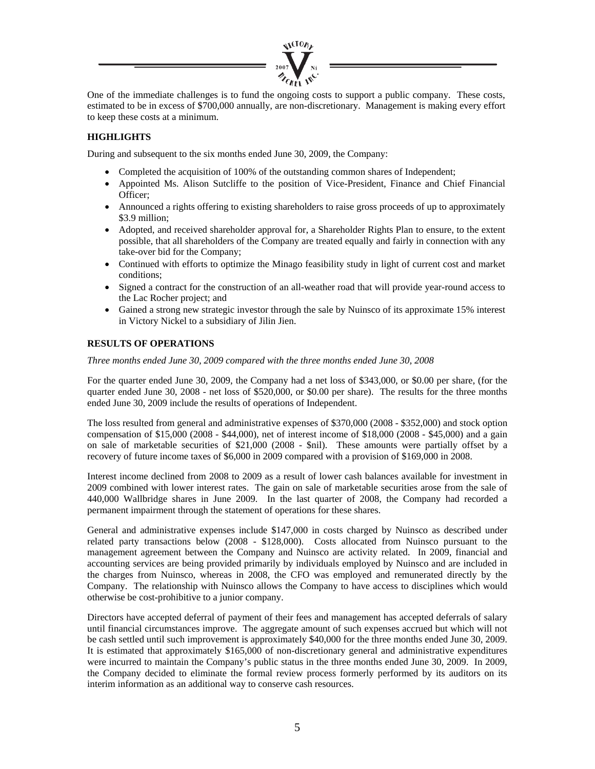

One of the immediate challenges is to fund the ongoing costs to support a public company. These costs, estimated to be in excess of \$700,000 annually, are non-discretionary. Management is making every effort to keep these costs at a minimum.

### **HIGHLIGHTS**

During and subsequent to the six months ended June 30, 2009, the Company:

- Completed the acquisition of 100% of the outstanding common shares of Independent;
- Appointed Ms. Alison Sutcliffe to the position of Vice-President, Finance and Chief Financial Officer;
- Announced a rights offering to existing shareholders to raise gross proceeds of up to approximately \$3.9 million;
- Adopted, and received shareholder approval for, a Shareholder Rights Plan to ensure, to the extent possible, that all shareholders of the Company are treated equally and fairly in connection with any take-over bid for the Company;
- Continued with efforts to optimize the Minago feasibility study in light of current cost and market conditions;
- Signed a contract for the construction of an all-weather road that will provide year-round access to the Lac Rocher project; and
- Gained a strong new strategic investor through the sale by Nuinsco of its approximate 15% interest in Victory Nickel to a subsidiary of Jilin Jien.

### **RESULTS OF OPERATIONS**

*Three months ended June 30, 2009 compared with the three months ended June 30, 2008* 

For the quarter ended June 30, 2009, the Company had a net loss of \$343,000, or \$0.00 per share, (for the quarter ended June 30, 2008 - net loss of \$520,000, or \$0.00 per share). The results for the three months ended June 30, 2009 include the results of operations of Independent.

The loss resulted from general and administrative expenses of \$370,000 (2008 - \$352,000) and stock option compensation of \$15,000 (2008 - \$44,000), net of interest income of \$18,000 (2008 - \$45,000) and a gain on sale of marketable securities of \$21,000 (2008 - \$nil). These amounts were partially offset by a recovery of future income taxes of \$6,000 in 2009 compared with a provision of \$169,000 in 2008.

Interest income declined from 2008 to 2009 as a result of lower cash balances available for investment in 2009 combined with lower interest rates. The gain on sale of marketable securities arose from the sale of 440,000 Wallbridge shares in June 2009. In the last quarter of 2008, the Company had recorded a permanent impairment through the statement of operations for these shares.

General and administrative expenses include \$147,000 in costs charged by Nuinsco as described under related party transactions below (2008 - \$128,000). Costs allocated from Nuinsco pursuant to the management agreement between the Company and Nuinsco are activity related. In 2009, financial and accounting services are being provided primarily by individuals employed by Nuinsco and are included in the charges from Nuinsco, whereas in 2008, the CFO was employed and remunerated directly by the Company. The relationship with Nuinsco allows the Company to have access to disciplines which would otherwise be cost-prohibitive to a junior company.

Directors have accepted deferral of payment of their fees and management has accepted deferrals of salary until financial circumstances improve. The aggregate amount of such expenses accrued but which will not be cash settled until such improvement is approximately \$40,000 for the three months ended June 30, 2009. It is estimated that approximately \$165,000 of non-discretionary general and administrative expenditures were incurred to maintain the Company's public status in the three months ended June 30, 2009. In 2009, the Company decided to eliminate the formal review process formerly performed by its auditors on its interim information as an additional way to conserve cash resources.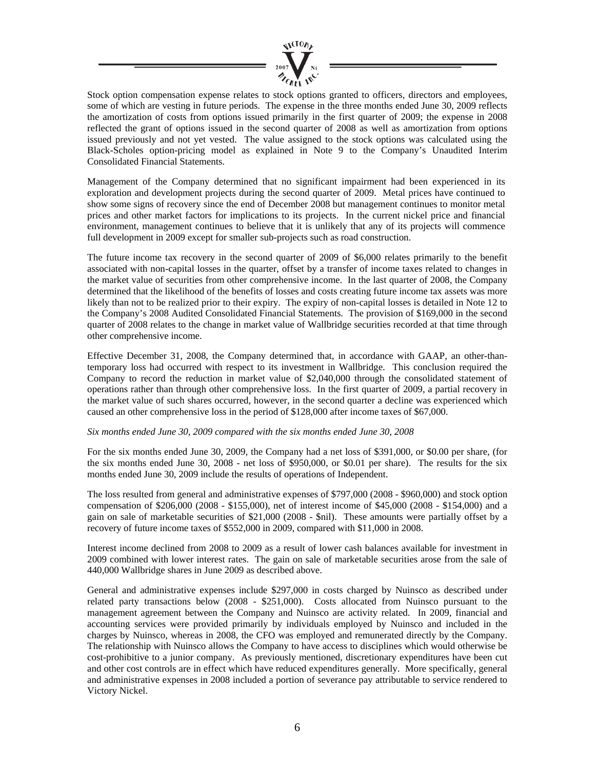

Stock option compensation expense relates to stock options granted to officers, directors and employees, some of which are vesting in future periods. The expense in the three months ended June 30, 2009 reflects the amortization of costs from options issued primarily in the first quarter of 2009; the expense in 2008 reflected the grant of options issued in the second quarter of 2008 as well as amortization from options issued previously and not yet vested. The value assigned to the stock options was calculated using the Black-Scholes option-pricing model as explained in Note 9 to the Company's Unaudited Interim Consolidated Financial Statements.

Management of the Company determined that no significant impairment had been experienced in its exploration and development projects during the second quarter of 2009. Metal prices have continued to show some signs of recovery since the end of December 2008 but management continues to monitor metal prices and other market factors for implications to its projects. In the current nickel price and financial environment, management continues to believe that it is unlikely that any of its projects will commence full development in 2009 except for smaller sub-projects such as road construction.

The future income tax recovery in the second quarter of 2009 of \$6,000 relates primarily to the benefit associated with non-capital losses in the quarter, offset by a transfer of income taxes related to changes in the market value of securities from other comprehensive income. In the last quarter of 2008, the Company determined that the likelihood of the benefits of losses and costs creating future income tax assets was more likely than not to be realized prior to their expiry. The expiry of non-capital losses is detailed in Note 12 to the Company's 2008 Audited Consolidated Financial Statements. The provision of \$169,000 in the second quarter of 2008 relates to the change in market value of Wallbridge securities recorded at that time through other comprehensive income.

Effective December 31, 2008, the Company determined that, in accordance with GAAP, an other-thantemporary loss had occurred with respect to its investment in Wallbridge. This conclusion required the Company to record the reduction in market value of \$2,040,000 through the consolidated statement of operations rather than through other comprehensive loss. In the first quarter of 2009, a partial recovery in the market value of such shares occurred, however, in the second quarter a decline was experienced which caused an other comprehensive loss in the period of \$128,000 after income taxes of \$67,000.

### *Six months ended June 30, 2009 compared with the six months ended June 30, 2008*

For the six months ended June 30, 2009, the Company had a net loss of \$391,000, or \$0.00 per share, (for the six months ended June 30, 2008 - net loss of \$950,000, or \$0.01 per share). The results for the six months ended June 30, 2009 include the results of operations of Independent.

The loss resulted from general and administrative expenses of \$797,000 (2008 - \$960,000) and stock option compensation of \$206,000 (2008 - \$155,000), net of interest income of \$45,000 (2008 - \$154,000) and a gain on sale of marketable securities of \$21,000 (2008 - \$nil). These amounts were partially offset by a recovery of future income taxes of \$552,000 in 2009, compared with \$11,000 in 2008.

Interest income declined from 2008 to 2009 as a result of lower cash balances available for investment in 2009 combined with lower interest rates. The gain on sale of marketable securities arose from the sale of 440,000 Wallbridge shares in June 2009 as described above.

General and administrative expenses include \$297,000 in costs charged by Nuinsco as described under related party transactions below (2008 - \$251,000). Costs allocated from Nuinsco pursuant to the management agreement between the Company and Nuinsco are activity related. In 2009, financial and accounting services were provided primarily by individuals employed by Nuinsco and included in the charges by Nuinsco, whereas in 2008, the CFO was employed and remunerated directly by the Company. The relationship with Nuinsco allows the Company to have access to disciplines which would otherwise be cost-prohibitive to a junior company. As previously mentioned, discretionary expenditures have been cut and other cost controls are in effect which have reduced expenditures generally. More specifically, general and administrative expenses in 2008 included a portion of severance pay attributable to service rendered to Victory Nickel.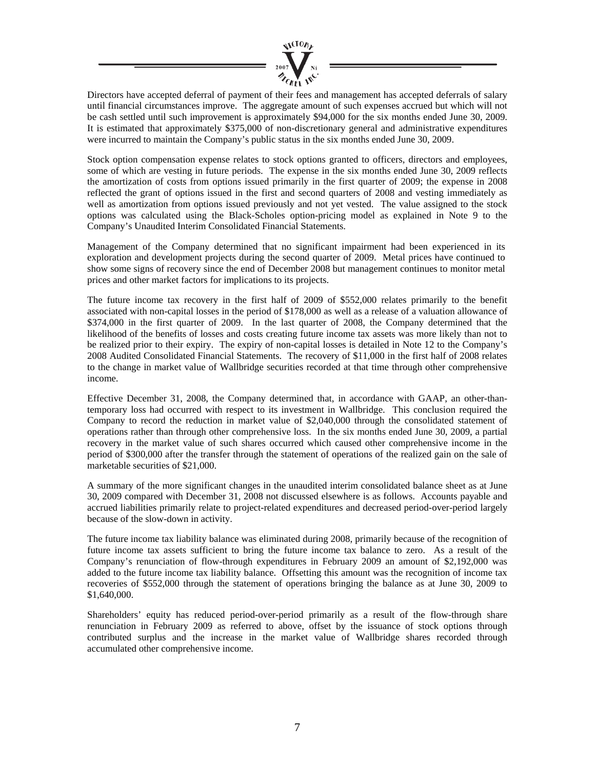

Directors have accepted deferral of payment of their fees and management has accepted deferrals of salary until financial circumstances improve. The aggregate amount of such expenses accrued but which will not be cash settled until such improvement is approximately \$94,000 for the six months ended June 30, 2009. It is estimated that approximately \$375,000 of non-discretionary general and administrative expenditures were incurred to maintain the Company's public status in the six months ended June 30, 2009.

Stock option compensation expense relates to stock options granted to officers, directors and employees, some of which are vesting in future periods. The expense in the six months ended June 30, 2009 reflects the amortization of costs from options issued primarily in the first quarter of 2009; the expense in 2008 reflected the grant of options issued in the first and second quarters of 2008 and vesting immediately as well as amortization from options issued previously and not yet vested. The value assigned to the stock options was calculated using the Black-Scholes option-pricing model as explained in Note 9 to the Company's Unaudited Interim Consolidated Financial Statements.

Management of the Company determined that no significant impairment had been experienced in its exploration and development projects during the second quarter of 2009. Metal prices have continued to show some signs of recovery since the end of December 2008 but management continues to monitor metal prices and other market factors for implications to its projects.

The future income tax recovery in the first half of 2009 of \$552,000 relates primarily to the benefit associated with non-capital losses in the period of \$178,000 as well as a release of a valuation allowance of \$374,000 in the first quarter of 2009. In the last quarter of 2008, the Company determined that the likelihood of the benefits of losses and costs creating future income tax assets was more likely than not to be realized prior to their expiry. The expiry of non-capital losses is detailed in Note 12 to the Company's 2008 Audited Consolidated Financial Statements. The recovery of \$11,000 in the first half of 2008 relates to the change in market value of Wallbridge securities recorded at that time through other comprehensive income.

Effective December 31, 2008, the Company determined that, in accordance with GAAP, an other-thantemporary loss had occurred with respect to its investment in Wallbridge. This conclusion required the Company to record the reduction in market value of \$2,040,000 through the consolidated statement of operations rather than through other comprehensive loss. In the six months ended June 30, 2009, a partial recovery in the market value of such shares occurred which caused other comprehensive income in the period of \$300,000 after the transfer through the statement of operations of the realized gain on the sale of marketable securities of \$21,000.

A summary of the more significant changes in the unaudited interim consolidated balance sheet as at June 30, 2009 compared with December 31, 2008 not discussed elsewhere is as follows. Accounts payable and accrued liabilities primarily relate to project-related expenditures and decreased period-over-period largely because of the slow-down in activity.

The future income tax liability balance was eliminated during 2008, primarily because of the recognition of future income tax assets sufficient to bring the future income tax balance to zero. As a result of the Company's renunciation of flow-through expenditures in February 2009 an amount of \$2,192,000 was added to the future income tax liability balance. Offsetting this amount was the recognition of income tax recoveries of \$552,000 through the statement of operations bringing the balance as at June 30, 2009 to \$1,640,000.

Shareholders' equity has reduced period-over-period primarily as a result of the flow-through share renunciation in February 2009 as referred to above, offset by the issuance of stock options through contributed surplus and the increase in the market value of Wallbridge shares recorded through accumulated other comprehensive income.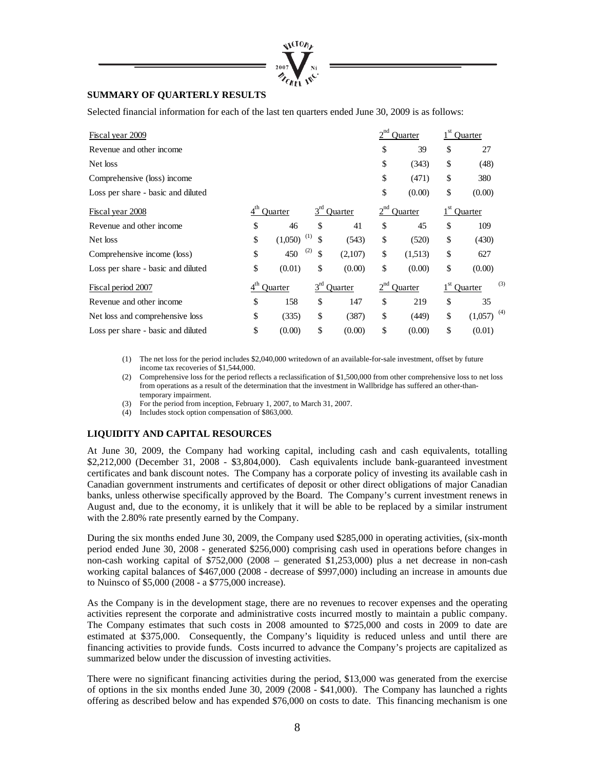

### **SUMMARY OF QUARTERLY RESULTS**

Selected financial information for each of the last ten quarters ended June 30, 2009 is as follows:

| Fiscal year 2009                   |                 |                |           |                |          | Ouarter |              | Quarter                  |
|------------------------------------|-----------------|----------------|-----------|----------------|----------|---------|--------------|--------------------------|
| Revenue and other income           |                 |                |           |                | \$       | 39      | \$           | 27                       |
| Net loss                           |                 |                |           |                | \$       | (343)   | \$           | (48)                     |
| Comprehensive (loss) income        |                 |                |           |                | \$       | (471)   | \$           | 380                      |
| Loss per share - basic and diluted |                 |                |           |                | \$       | (0.00)  | \$           | (0.00)                   |
| Fiscal year 2008                   | 4 <sup>th</sup> | Ouarter        | $3^{rd}$  | Quarter        |          | Ouarter |              | Ouarter                  |
| Revenue and other income           | \$              | 46             | \$        | 41             | \$       | 45      | \$           | 109                      |
| Net loss                           | \$              | (1,050)        | (1)<br>\$ | (543)          | \$       | (520)   | \$           | (430)                    |
| Comprehensive income (loss)        | \$              | 450            | (2)<br>\$ | (2,107)        | \$       | (1.513) | \$           | 627                      |
| Loss per share - basic and diluted | \$              | (0.01)         | \$        | (0.00)         | \$       | (0.00)  | \$           | (0.00)                   |
| Fiscal period 2007                 | $4^{\text{th}}$ | <b>Ouarter</b> | $3^{rd}$  | <b>Ouarter</b> | $2^{nd}$ | Ouarter | $1^{\rm st}$ | (3)<br>Ouarter           |
| Revenue and other income           | \$              | 158            | \$        | 147            | \$       | 219     | \$           | 35                       |
| Net loss and comprehensive loss    | \$              | (335)          | \$        | (387)          | \$       | (449)   | \$           | $(1,057)$ <sup>(4)</sup> |
| Loss per share - basic and diluted | \$              | (0.00)         | \$        | (0.00)         | \$       | (0.00)  | \$           | (0.01)                   |

(1) The net loss for the period includes \$2,040,000 writedown of an available-for-sale investment, offset by future income tax recoveries of \$1,544,000.

Comprehensive loss for the period reflects a reclassification of \$1,500,000 from other comprehensive loss to net loss from operations as a result of the determination that the investment in Wallbridge has suffered an other-thantemporary impairment.

(3) For the period from inception, February 1, 2007, to March 31, 2007.

(4) Includes stock option compensation of \$863,000.

### **LIQUIDITY AND CAPITAL RESOURCES**

At June 30, 2009, the Company had working capital, including cash and cash equivalents, totalling \$2,212,000 (December 31, 2008 - \$3,804,000). Cash equivalents include bank-guaranteed investment certificates and bank discount notes. The Company has a corporate policy of investing its available cash in Canadian government instruments and certificates of deposit or other direct obligations of major Canadian banks, unless otherwise specifically approved by the Board. The Company's current investment renews in August and, due to the economy, it is unlikely that it will be able to be replaced by a similar instrument with the 2.80% rate presently earned by the Company.

During the six months ended June 30, 2009, the Company used \$285,000 in operating activities, (six-month period ended June 30, 2008 - generated \$256,000) comprising cash used in operations before changes in non-cash working capital of \$752,000 (2008 – generated \$1,253,000) plus a net decrease in non-cash working capital balances of \$467,000 (2008 - decrease of \$997,000) including an increase in amounts due to Nuinsco of \$5,000 (2008 - a \$775,000 increase).

As the Company is in the development stage, there are no revenues to recover expenses and the operating activities represent the corporate and administrative costs incurred mostly to maintain a public company. The Company estimates that such costs in 2008 amounted to \$725,000 and costs in 2009 to date are estimated at \$375,000. Consequently, the Company's liquidity is reduced unless and until there are financing activities to provide funds. Costs incurred to advance the Company's projects are capitalized as summarized below under the discussion of investing activities.

There were no significant financing activities during the period, \$13,000 was generated from the exercise of options in the six months ended June 30, 2009 (2008 - \$41,000). The Company has launched a rights offering as described below and has expended \$76,000 on costs to date. This financing mechanism is one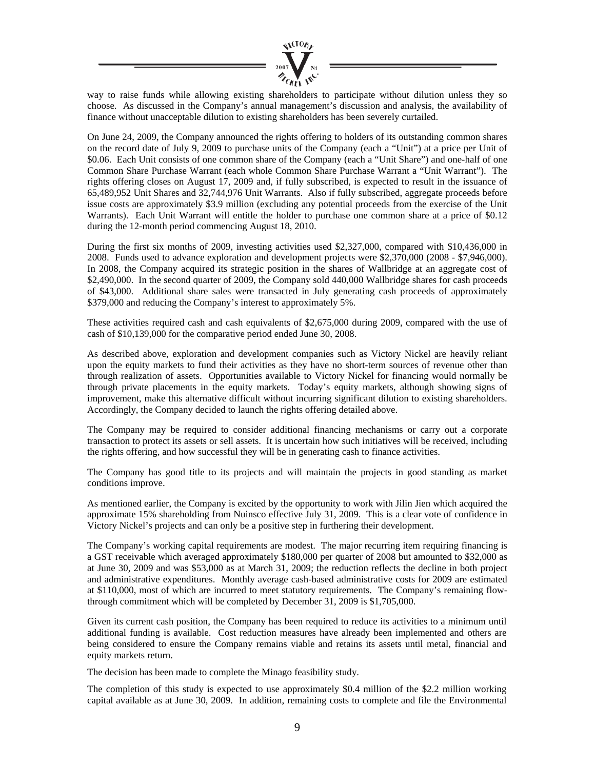

way to raise funds while allowing existing shareholders to participate without dilution unless they so choose. As discussed in the Company's annual management's discussion and analysis, the availability of finance without unacceptable dilution to existing shareholders has been severely curtailed.

On June 24, 2009, the Company announced the rights offering to holders of its outstanding common shares on the record date of July 9, 2009 to purchase units of the Company (each a "Unit") at a price per Unit of \$0.06. Each Unit consists of one common share of the Company (each a "Unit Share") and one-half of one Common Share Purchase Warrant (each whole Common Share Purchase Warrant a "Unit Warrant"). The rights offering closes on August 17, 2009 and, if fully subscribed, is expected to result in the issuance of 65,489,952 Unit Shares and 32,744,976 Unit Warrants. Also if fully subscribed, aggregate proceeds before issue costs are approximately \$3.9 million (excluding any potential proceeds from the exercise of the Unit Warrants). Each Unit Warrant will entitle the holder to purchase one common share at a price of \$0.12 during the 12-month period commencing August 18, 2010.

During the first six months of 2009, investing activities used \$2,327,000, compared with \$10,436,000 in 2008. Funds used to advance exploration and development projects were \$2,370,000 (2008 - \$7,946,000). In 2008, the Company acquired its strategic position in the shares of Wallbridge at an aggregate cost of \$2,490,000. In the second quarter of 2009, the Company sold 440,000 Wallbridge shares for cash proceeds of \$43,000. Additional share sales were transacted in July generating cash proceeds of approximately \$379,000 and reducing the Company's interest to approximately 5%.

These activities required cash and cash equivalents of \$2,675,000 during 2009, compared with the use of cash of \$10,139,000 for the comparative period ended June 30, 2008.

As described above, exploration and development companies such as Victory Nickel are heavily reliant upon the equity markets to fund their activities as they have no short-term sources of revenue other than through realization of assets. Opportunities available to Victory Nickel for financing would normally be through private placements in the equity markets. Today's equity markets, although showing signs of improvement, make this alternative difficult without incurring significant dilution to existing shareholders. Accordingly, the Company decided to launch the rights offering detailed above.

The Company may be required to consider additional financing mechanisms or carry out a corporate transaction to protect its assets or sell assets. It is uncertain how such initiatives will be received, including the rights offering, and how successful they will be in generating cash to finance activities.

The Company has good title to its projects and will maintain the projects in good standing as market conditions improve.

As mentioned earlier, the Company is excited by the opportunity to work with Jilin Jien which acquired the approximate 15% shareholding from Nuinsco effective July 31, 2009. This is a clear vote of confidence in Victory Nickel's projects and can only be a positive step in furthering their development.

The Company's working capital requirements are modest. The major recurring item requiring financing is a GST receivable which averaged approximately \$180,000 per quarter of 2008 but amounted to \$32,000 as at June 30, 2009 and was \$53,000 as at March 31, 2009; the reduction reflects the decline in both project and administrative expenditures. Monthly average cash-based administrative costs for 2009 are estimated at \$110,000, most of which are incurred to meet statutory requirements. The Company's remaining flowthrough commitment which will be completed by December 31, 2009 is \$1,705,000.

Given its current cash position, the Company has been required to reduce its activities to a minimum until additional funding is available. Cost reduction measures have already been implemented and others are being considered to ensure the Company remains viable and retains its assets until metal, financial and equity markets return.

The decision has been made to complete the Minago feasibility study.

The completion of this study is expected to use approximately \$0.4 million of the \$2.2 million working capital available as at June 30, 2009. In addition, remaining costs to complete and file the Environmental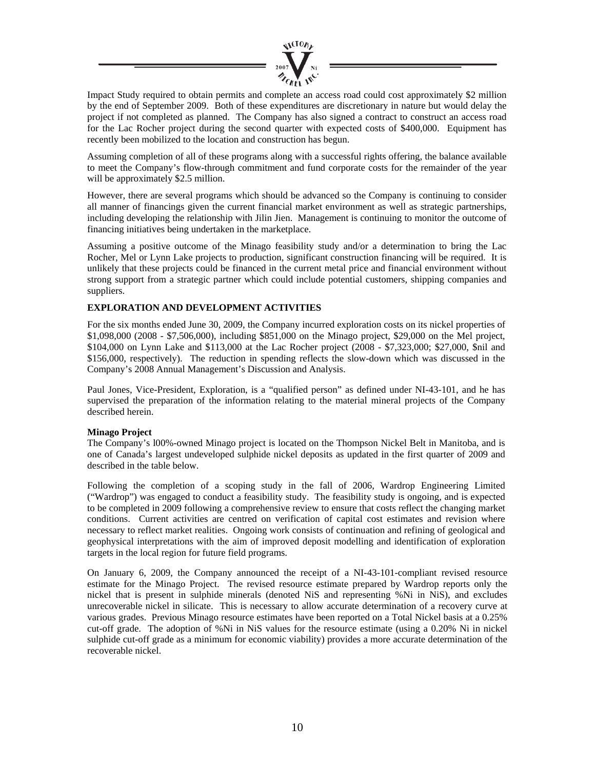

Impact Study required to obtain permits and complete an access road could cost approximately \$2 million by the end of September 2009. Both of these expenditures are discretionary in nature but would delay the project if not completed as planned. The Company has also signed a contract to construct an access road for the Lac Rocher project during the second quarter with expected costs of \$400,000. Equipment has recently been mobilized to the location and construction has begun.

Assuming completion of all of these programs along with a successful rights offering, the balance available to meet the Company's flow-through commitment and fund corporate costs for the remainder of the year will be approximately \$2.5 million.

However, there are several programs which should be advanced so the Company is continuing to consider all manner of financings given the current financial market environment as well as strategic partnerships, including developing the relationship with Jilin Jien. Management is continuing to monitor the outcome of financing initiatives being undertaken in the marketplace.

Assuming a positive outcome of the Minago feasibility study and/or a determination to bring the Lac Rocher, Mel or Lynn Lake projects to production, significant construction financing will be required. It is unlikely that these projects could be financed in the current metal price and financial environment without strong support from a strategic partner which could include potential customers, shipping companies and suppliers.

### **EXPLORATION AND DEVELOPMENT ACTIVITIES**

For the six months ended June 30, 2009, the Company incurred exploration costs on its nickel properties of \$1,098,000 (2008 - \$7,506,000), including \$851,000 on the Minago project, \$29,000 on the Mel project, \$104,000 on Lynn Lake and \$113,000 at the Lac Rocher project (2008 - \$7,323,000; \$27,000, \$nil and \$156,000, respectively). The reduction in spending reflects the slow-down which was discussed in the Company's 2008 Annual Management's Discussion and Analysis.

Paul Jones, Vice-President, Exploration, is a "qualified person" as defined under NI-43-101, and he has supervised the preparation of the information relating to the material mineral projects of the Company described herein.

### **Minago Project**

The Company's l00%-owned Minago project is located on the Thompson Nickel Belt in Manitoba, and is one of Canada's largest undeveloped sulphide nickel deposits as updated in the first quarter of 2009 and described in the table below.

Following the completion of a scoping study in the fall of 2006, Wardrop Engineering Limited ("Wardrop") was engaged to conduct a feasibility study. The feasibility study is ongoing, and is expected to be completed in 2009 following a comprehensive review to ensure that costs reflect the changing market conditions. Current activities are centred on verification of capital cost estimates and revision where necessary to reflect market realities. Ongoing work consists of continuation and refining of geological and geophysical interpretations with the aim of improved deposit modelling and identification of exploration targets in the local region for future field programs.

On January 6, 2009, the Company announced the receipt of a NI-43-101-compliant revised resource estimate for the Minago Project. The revised resource estimate prepared by Wardrop reports only the nickel that is present in sulphide minerals (denoted NiS and representing %Ni in NiS), and excludes unrecoverable nickel in silicate. This is necessary to allow accurate determination of a recovery curve at various grades. Previous Minago resource estimates have been reported on a Total Nickel basis at a 0.25% cut-off grade. The adoption of %Ni in NiS values for the resource estimate (using a 0.20% Ni in nickel sulphide cut-off grade as a minimum for economic viability) provides a more accurate determination of the recoverable nickel.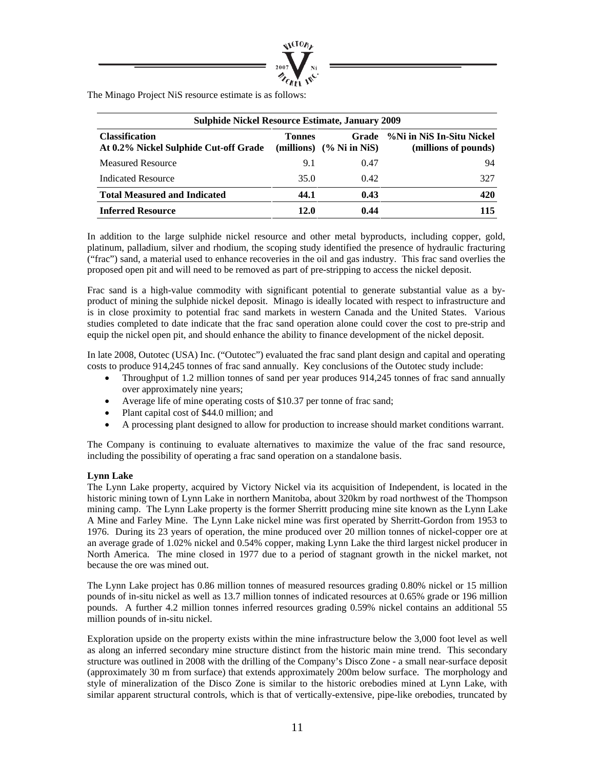

The Minago Project NiS resource estimate is as follows:

| <b>Sulphide Nickel Resource Estimate, January 2009</b>         |               |                                     |                                                   |  |  |  |  |  |  |  |
|----------------------------------------------------------------|---------------|-------------------------------------|---------------------------------------------------|--|--|--|--|--|--|--|
| <b>Classification</b><br>At 0.2% Nickel Sulphide Cut-off Grade | <b>Tonnes</b> | Grade<br>(millions) $(%$ Ni in NiS) | %Ni in NiS In-Situ Nickel<br>(millions of pounds) |  |  |  |  |  |  |  |
| <b>Measured Resource</b>                                       | 9.1           | 0.47                                | 94                                                |  |  |  |  |  |  |  |
| <b>Indicated Resource</b>                                      | 35.0          | 0.42                                | 327                                               |  |  |  |  |  |  |  |
| <b>Total Measured and Indicated</b>                            | 44.1          | 0.43                                | 420                                               |  |  |  |  |  |  |  |
| <b>Inferred Resource</b>                                       | 12.0          | 0.44                                | 115                                               |  |  |  |  |  |  |  |

In addition to the large sulphide nickel resource and other metal byproducts, including copper, gold, platinum, palladium, silver and rhodium, the scoping study identified the presence of hydraulic fracturing ("frac") sand, a material used to enhance recoveries in the oil and gas industry. This frac sand overlies the proposed open pit and will need to be removed as part of pre-stripping to access the nickel deposit.

Frac sand is a high-value commodity with significant potential to generate substantial value as a byproduct of mining the sulphide nickel deposit. Minago is ideally located with respect to infrastructure and is in close proximity to potential frac sand markets in western Canada and the United States. Various studies completed to date indicate that the frac sand operation alone could cover the cost to pre-strip and equip the nickel open pit, and should enhance the ability to finance development of the nickel deposit.

In late 2008, Outotec (USA) Inc. ("Outotec") evaluated the frac sand plant design and capital and operating costs to produce 914,245 tonnes of frac sand annually. Key conclusions of the Outotec study include:

- Throughput of 1.2 million tonnes of sand per year produces 914,245 tonnes of frac sand annually over approximately nine years;
- Average life of mine operating costs of \$10.37 per tonne of frac sand;
- Plant capital cost of \$44.0 million; and
- A processing plant designed to allow for production to increase should market conditions warrant.

The Company is continuing to evaluate alternatives to maximize the value of the frac sand resource, including the possibility of operating a frac sand operation on a standalone basis.

### **Lynn Lake**

The Lynn Lake property, acquired by Victory Nickel via its acquisition of Independent, is located in the historic mining town of Lynn Lake in northern Manitoba, about 320km by road northwest of the Thompson mining camp. The Lynn Lake property is the former Sherritt producing mine site known as the Lynn Lake A Mine and Farley Mine. The Lynn Lake nickel mine was first operated by Sherritt-Gordon from 1953 to 1976. During its 23 years of operation, the mine produced over 20 million tonnes of nickel-copper ore at an average grade of 1.02% nickel and 0.54% copper, making Lynn Lake the third largest nickel producer in North America. The mine closed in 1977 due to a period of stagnant growth in the nickel market, not because the ore was mined out.

The Lynn Lake project has 0.86 million tonnes of measured resources grading 0.80% nickel or 15 million pounds of in-situ nickel as well as 13.7 million tonnes of indicated resources at 0.65% grade or 196 million pounds. A further 4.2 million tonnes inferred resources grading 0.59% nickel contains an additional 55 million pounds of in-situ nickel.

Exploration upside on the property exists within the mine infrastructure below the 3,000 foot level as well as along an inferred secondary mine structure distinct from the historic main mine trend. This secondary structure was outlined in 2008 with the drilling of the Company's Disco Zone - a small near-surface deposit (approximately 30 m from surface) that extends approximately 200m below surface. The morphology and style of mineralization of the Disco Zone is similar to the historic orebodies mined at Lynn Lake, with similar apparent structural controls, which is that of vertically-extensive, pipe-like orebodies, truncated by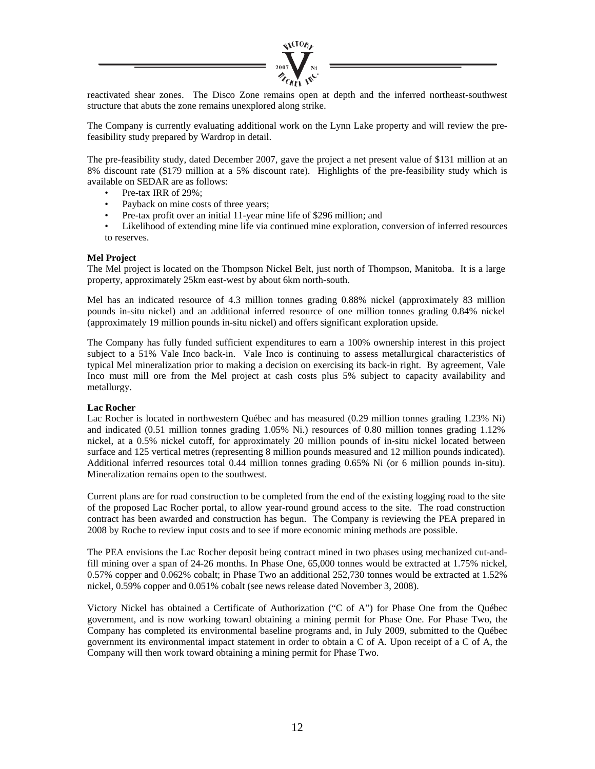

reactivated shear zones. The Disco Zone remains open at depth and the inferred northeast-southwest structure that abuts the zone remains unexplored along strike.

The Company is currently evaluating additional work on the Lynn Lake property and will review the prefeasibility study prepared by Wardrop in detail.

The pre-feasibility study, dated December 2007, gave the project a net present value of \$131 million at an 8% discount rate (\$179 million at a 5% discount rate). Highlights of the pre-feasibility study which is available on SEDAR are as follows:

- Pre-tax IRR of 29%:
- Payback on mine costs of three years;
- Pre-tax profit over an initial 11-year mine life of \$296 million; and
- Likelihood of extending mine life via continued mine exploration, conversion of inferred resources to reserves.

### **Mel Project**

The Mel project is located on the Thompson Nickel Belt, just north of Thompson, Manitoba. It is a large property, approximately 25km east-west by about 6km north-south.

Mel has an indicated resource of 4.3 million tonnes grading 0.88% nickel (approximately 83 million pounds in-situ nickel) and an additional inferred resource of one million tonnes grading 0.84% nickel (approximately 19 million pounds in-situ nickel) and offers significant exploration upside.

The Company has fully funded sufficient expenditures to earn a 100% ownership interest in this project subject to a 51% Vale Inco back-in. Vale Inco is continuing to assess metallurgical characteristics of typical Mel mineralization prior to making a decision on exercising its back-in right. By agreement, Vale Inco must mill ore from the Mel project at cash costs plus 5% subject to capacity availability and metallurgy.

### **Lac Rocher**

Lac Rocher is located in northwestern Québec and has measured (0.29 million tonnes grading 1.23% Ni) and indicated (0.51 million tonnes grading 1.05% Ni.) resources of 0.80 million tonnes grading 1.12% nickel, at a 0.5% nickel cutoff, for approximately 20 million pounds of in-situ nickel located between surface and 125 vertical metres (representing 8 million pounds measured and 12 million pounds indicated). Additional inferred resources total 0.44 million tonnes grading 0.65% Ni (or 6 million pounds in-situ). Mineralization remains open to the southwest.

Current plans are for road construction to be completed from the end of the existing logging road to the site of the proposed Lac Rocher portal, to allow year-round ground access to the site. The road construction contract has been awarded and construction has begun. The Company is reviewing the PEA prepared in 2008 by Roche to review input costs and to see if more economic mining methods are possible.

The PEA envisions the Lac Rocher deposit being contract mined in two phases using mechanized cut-andfill mining over a span of 24-26 months. In Phase One, 65,000 tonnes would be extracted at 1.75% nickel, 0.57% copper and 0.062% cobalt; in Phase Two an additional 252,730 tonnes would be extracted at 1.52% nickel, 0.59% copper and 0.051% cobalt (see news release dated November 3, 2008).

Victory Nickel has obtained a Certificate of Authorization ("C of A") for Phase One from the Québec government, and is now working toward obtaining a mining permit for Phase One. For Phase Two, the Company has completed its environmental baseline programs and, in July 2009, submitted to the Québec government its environmental impact statement in order to obtain a C of A. Upon receipt of a C of A, the Company will then work toward obtaining a mining permit for Phase Two.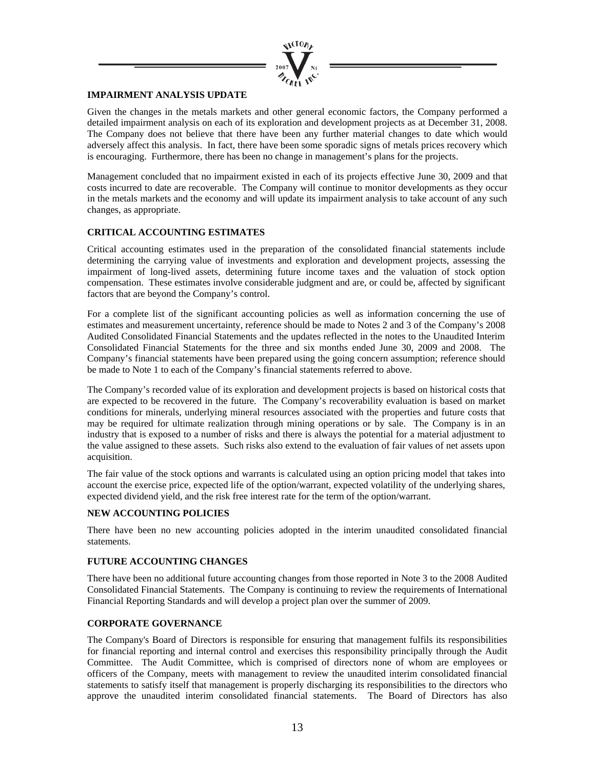

### **IMPAIRMENT ANALYSIS UPDATE**

Given the changes in the metals markets and other general economic factors, the Company performed a detailed impairment analysis on each of its exploration and development projects as at December 31, 2008. The Company does not believe that there have been any further material changes to date which would adversely affect this analysis. In fact, there have been some sporadic signs of metals prices recovery which is encouraging. Furthermore, there has been no change in management's plans for the projects.

Management concluded that no impairment existed in each of its projects effective June 30, 2009 and that costs incurred to date are recoverable. The Company will continue to monitor developments as they occur in the metals markets and the economy and will update its impairment analysis to take account of any such changes, as appropriate.

### **CRITICAL ACCOUNTING ESTIMATES**

Critical accounting estimates used in the preparation of the consolidated financial statements include determining the carrying value of investments and exploration and development projects, assessing the impairment of long-lived assets, determining future income taxes and the valuation of stock option compensation. These estimates involve considerable judgment and are, or could be, affected by significant factors that are beyond the Company's control.

For a complete list of the significant accounting policies as well as information concerning the use of estimates and measurement uncertainty, reference should be made to Notes 2 and 3 of the Company's 2008 Audited Consolidated Financial Statements and the updates reflected in the notes to the Unaudited Interim Consolidated Financial Statements for the three and six months ended June 30, 2009 and 2008. The Company's financial statements have been prepared using the going concern assumption; reference should be made to Note 1 to each of the Company's financial statements referred to above.

The Company's recorded value of its exploration and development projects is based on historical costs that are expected to be recovered in the future. The Company's recoverability evaluation is based on market conditions for minerals, underlying mineral resources associated with the properties and future costs that may be required for ultimate realization through mining operations or by sale. The Company is in an industry that is exposed to a number of risks and there is always the potential for a material adjustment to the value assigned to these assets. Such risks also extend to the evaluation of fair values of net assets upon acquisition.

The fair value of the stock options and warrants is calculated using an option pricing model that takes into account the exercise price, expected life of the option/warrant, expected volatility of the underlying shares, expected dividend yield, and the risk free interest rate for the term of the option/warrant.

### **NEW ACCOUNTING POLICIES**

There have been no new accounting policies adopted in the interim unaudited consolidated financial statements.

### **FUTURE ACCOUNTING CHANGES**

There have been no additional future accounting changes from those reported in Note 3 to the 2008 Audited Consolidated Financial Statements. The Company is continuing to review the requirements of International Financial Reporting Standards and will develop a project plan over the summer of 2009.

### **CORPORATE GOVERNANCE**

The Company's Board of Directors is responsible for ensuring that management fulfils its responsibilities for financial reporting and internal control and exercises this responsibility principally through the Audit Committee. The Audit Committee, which is comprised of directors none of whom are employees or officers of the Company, meets with management to review the unaudited interim consolidated financial statements to satisfy itself that management is properly discharging its responsibilities to the directors who approve the unaudited interim consolidated financial statements. The Board of Directors has also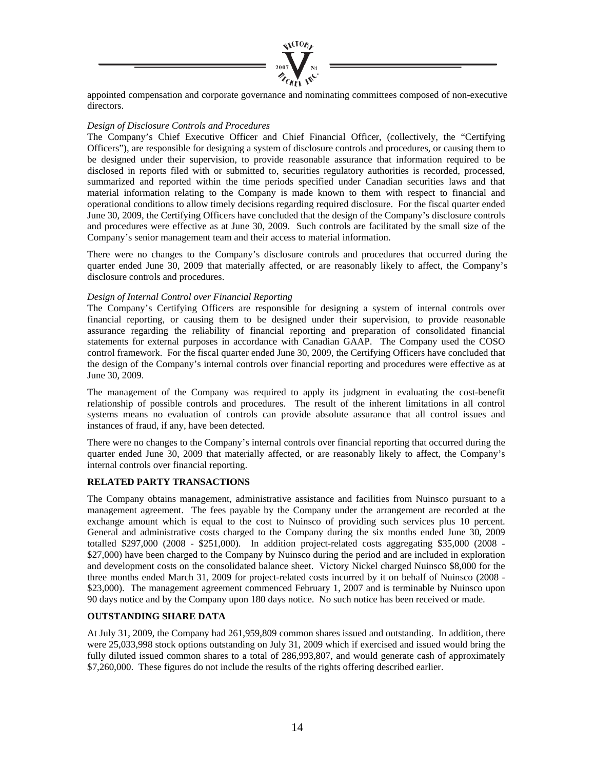

appointed compensation and corporate governance and nominating committees composed of non-executive directors.

### *Design of Disclosure Controls and Procedures*

The Company's Chief Executive Officer and Chief Financial Officer, (collectively, the "Certifying Officers"), are responsible for designing a system of disclosure controls and procedures, or causing them to be designed under their supervision, to provide reasonable assurance that information required to be disclosed in reports filed with or submitted to, securities regulatory authorities is recorded, processed, summarized and reported within the time periods specified under Canadian securities laws and that material information relating to the Company is made known to them with respect to financial and operational conditions to allow timely decisions regarding required disclosure. For the fiscal quarter ended June 30, 2009, the Certifying Officers have concluded that the design of the Company's disclosure controls and procedures were effective as at June 30, 2009. Such controls are facilitated by the small size of the Company's senior management team and their access to material information.

There were no changes to the Company's disclosure controls and procedures that occurred during the quarter ended June 30, 2009 that materially affected, or are reasonably likely to affect, the Company's disclosure controls and procedures.

### *Design of Internal Control over Financial Reporting*

The Company's Certifying Officers are responsible for designing a system of internal controls over financial reporting, or causing them to be designed under their supervision, to provide reasonable assurance regarding the reliability of financial reporting and preparation of consolidated financial statements for external purposes in accordance with Canadian GAAP. The Company used the COSO control framework. For the fiscal quarter ended June 30, 2009, the Certifying Officers have concluded that the design of the Company's internal controls over financial reporting and procedures were effective as at June 30, 2009.

The management of the Company was required to apply its judgment in evaluating the cost-benefit relationship of possible controls and procedures. The result of the inherent limitations in all control systems means no evaluation of controls can provide absolute assurance that all control issues and instances of fraud, if any, have been detected.

There were no changes to the Company's internal controls over financial reporting that occurred during the quarter ended June 30, 2009 that materially affected, or are reasonably likely to affect, the Company's internal controls over financial reporting.

### **RELATED PARTY TRANSACTIONS**

The Company obtains management, administrative assistance and facilities from Nuinsco pursuant to a management agreement. The fees payable by the Company under the arrangement are recorded at the exchange amount which is equal to the cost to Nuinsco of providing such services plus 10 percent. General and administrative costs charged to the Company during the six months ended June 30, 2009 totalled \$297,000 (2008 - \$251,000). In addition project-related costs aggregating \$35,000 (2008 - \$27,000) have been charged to the Company by Nuinsco during the period and are included in exploration and development costs on the consolidated balance sheet. Victory Nickel charged Nuinsco \$8,000 for the three months ended March 31, 2009 for project-related costs incurred by it on behalf of Nuinsco (2008 - \$23,000). The management agreement commenced February 1, 2007 and is terminable by Nuinsco upon 90 days notice and by the Company upon 180 days notice. No such notice has been received or made.

### **OUTSTANDING SHARE DATA**

At July 31, 2009, the Company had 261,959,809 common shares issued and outstanding. In addition, there were 25,033,998 stock options outstanding on July 31, 2009 which if exercised and issued would bring the fully diluted issued common shares to a total of 286,993,807, and would generate cash of approximately \$7,260,000. These figures do not include the results of the rights offering described earlier.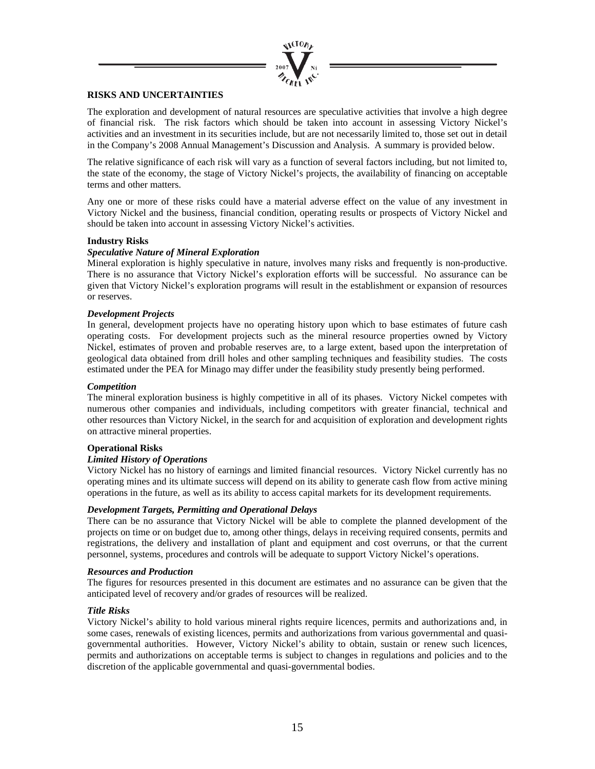

### **RISKS AND UNCERTAINTIES**

The exploration and development of natural resources are speculative activities that involve a high degree of financial risk. The risk factors which should be taken into account in assessing Victory Nickel's activities and an investment in its securities include, but are not necessarily limited to, those set out in detail in the Company's 2008 Annual Management's Discussion and Analysis. A summary is provided below.

The relative significance of each risk will vary as a function of several factors including, but not limited to, the state of the economy, the stage of Victory Nickel's projects, the availability of financing on acceptable terms and other matters.

Any one or more of these risks could have a material adverse effect on the value of any investment in Victory Nickel and the business, financial condition, operating results or prospects of Victory Nickel and should be taken into account in assessing Victory Nickel's activities.

### **Industry Risks**

### *Speculative Nature of Mineral Exploration*

Mineral exploration is highly speculative in nature, involves many risks and frequently is non-productive. There is no assurance that Victory Nickel's exploration efforts will be successful. No assurance can be given that Victory Nickel's exploration programs will result in the establishment or expansion of resources or reserves.

### *Development Projects*

In general, development projects have no operating history upon which to base estimates of future cash operating costs. For development projects such as the mineral resource properties owned by Victory Nickel, estimates of proven and probable reserves are, to a large extent, based upon the interpretation of geological data obtained from drill holes and other sampling techniques and feasibility studies. The costs estimated under the PEA for Minago may differ under the feasibility study presently being performed.

### *Competition*

The mineral exploration business is highly competitive in all of its phases. Victory Nickel competes with numerous other companies and individuals, including competitors with greater financial, technical and other resources than Victory Nickel, in the search for and acquisition of exploration and development rights on attractive mineral properties.

### **Operational Risks**

### *Limited History of Operations*

Victory Nickel has no history of earnings and limited financial resources. Victory Nickel currently has no operating mines and its ultimate success will depend on its ability to generate cash flow from active mining operations in the future, as well as its ability to access capital markets for its development requirements.

### *Development Targets, Permitting and Operational Delays*

There can be no assurance that Victory Nickel will be able to complete the planned development of the projects on time or on budget due to, among other things, delays in receiving required consents, permits and registrations, the delivery and installation of plant and equipment and cost overruns, or that the current personnel, systems, procedures and controls will be adequate to support Victory Nickel's operations.

### *Resources and Production*

The figures for resources presented in this document are estimates and no assurance can be given that the anticipated level of recovery and/or grades of resources will be realized.

### *Title Risks*

Victory Nickel's ability to hold various mineral rights require licences, permits and authorizations and, in some cases, renewals of existing licences, permits and authorizations from various governmental and quasigovernmental authorities. However, Victory Nickel's ability to obtain, sustain or renew such licences, permits and authorizations on acceptable terms is subject to changes in regulations and policies and to the discretion of the applicable governmental and quasi-governmental bodies.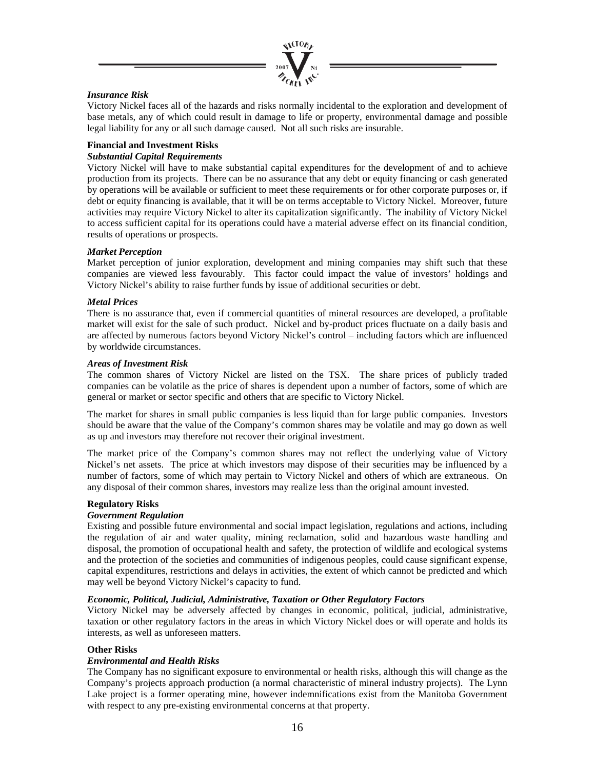

### *Insurance Risk*

Victory Nickel faces all of the hazards and risks normally incidental to the exploration and development of base metals, any of which could result in damage to life or property, environmental damage and possible legal liability for any or all such damage caused. Not all such risks are insurable.

### **Financial and Investment Risks**

### *Substantial Capital Requirements*

Victory Nickel will have to make substantial capital expenditures for the development of and to achieve production from its projects. There can be no assurance that any debt or equity financing or cash generated by operations will be available or sufficient to meet these requirements or for other corporate purposes or, if debt or equity financing is available, that it will be on terms acceptable to Victory Nickel. Moreover, future activities may require Victory Nickel to alter its capitalization significantly. The inability of Victory Nickel to access sufficient capital for its operations could have a material adverse effect on its financial condition, results of operations or prospects.

### *Market Perception*

Market perception of junior exploration, development and mining companies may shift such that these companies are viewed less favourably. This factor could impact the value of investors' holdings and Victory Nickel's ability to raise further funds by issue of additional securities or debt.

### *Metal Prices*

There is no assurance that, even if commercial quantities of mineral resources are developed, a profitable market will exist for the sale of such product. Nickel and by-product prices fluctuate on a daily basis and are affected by numerous factors beyond Victory Nickel's control – including factors which are influenced by worldwide circumstances.

### *Areas of Investment Risk*

The common shares of Victory Nickel are listed on the TSX. The share prices of publicly traded companies can be volatile as the price of shares is dependent upon a number of factors, some of which are general or market or sector specific and others that are specific to Victory Nickel.

The market for shares in small public companies is less liquid than for large public companies. Investors should be aware that the value of the Company's common shares may be volatile and may go down as well as up and investors may therefore not recover their original investment.

The market price of the Company's common shares may not reflect the underlying value of Victory Nickel's net assets. The price at which investors may dispose of their securities may be influenced by a number of factors, some of which may pertain to Victory Nickel and others of which are extraneous. On any disposal of their common shares, investors may realize less than the original amount invested.

### **Regulatory Risks**

### *Government Regulation*

Existing and possible future environmental and social impact legislation, regulations and actions, including the regulation of air and water quality, mining reclamation, solid and hazardous waste handling and disposal, the promotion of occupational health and safety, the protection of wildlife and ecological systems and the protection of the societies and communities of indigenous peoples, could cause significant expense, capital expenditures, restrictions and delays in activities, the extent of which cannot be predicted and which may well be beyond Victory Nickel's capacity to fund.

### *Economic, Political, Judicial, Administrative, Taxation or Other Regulatory Factors*

Victory Nickel may be adversely affected by changes in economic, political, judicial, administrative, taxation or other regulatory factors in the areas in which Victory Nickel does or will operate and holds its interests, as well as unforeseen matters.

### **Other Risks**

### *Environmental and Health Risks*

The Company has no significant exposure to environmental or health risks, although this will change as the Company's projects approach production (a normal characteristic of mineral industry projects). The Lynn Lake project is a former operating mine, however indemnifications exist from the Manitoba Government with respect to any pre-existing environmental concerns at that property.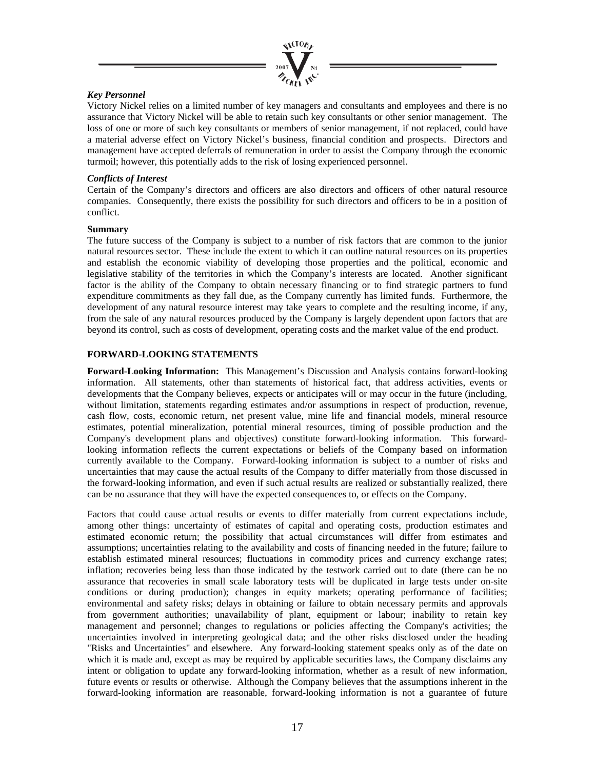

### *Key Personnel*

Victory Nickel relies on a limited number of key managers and consultants and employees and there is no assurance that Victory Nickel will be able to retain such key consultants or other senior management. The loss of one or more of such key consultants or members of senior management, if not replaced, could have a material adverse effect on Victory Nickel's business, financial condition and prospects. Directors and management have accepted deferrals of remuneration in order to assist the Company through the economic turmoil; however, this potentially adds to the risk of losing experienced personnel.

### *Conflicts of Interest*

Certain of the Company's directors and officers are also directors and officers of other natural resource companies. Consequently, there exists the possibility for such directors and officers to be in a position of conflict.

### **Summary**

The future success of the Company is subject to a number of risk factors that are common to the junior natural resources sector. These include the extent to which it can outline natural resources on its properties and establish the economic viability of developing those properties and the political, economic and legislative stability of the territories in which the Company's interests are located. Another significant factor is the ability of the Company to obtain necessary financing or to find strategic partners to fund expenditure commitments as they fall due, as the Company currently has limited funds. Furthermore, the development of any natural resource interest may take years to complete and the resulting income, if any, from the sale of any natural resources produced by the Company is largely dependent upon factors that are beyond its control, such as costs of development, operating costs and the market value of the end product.

### **FORWARD-LOOKING STATEMENTS**

**Forward-Looking Information:** This Management's Discussion and Analysis contains forward-looking information. All statements, other than statements of historical fact, that address activities, events or developments that the Company believes, expects or anticipates will or may occur in the future (including, without limitation, statements regarding estimates and/or assumptions in respect of production, revenue, cash flow, costs, economic return, net present value, mine life and financial models, mineral resource estimates, potential mineralization, potential mineral resources, timing of possible production and the Company's development plans and objectives) constitute forward-looking information. This forwardlooking information reflects the current expectations or beliefs of the Company based on information currently available to the Company. Forward-looking information is subject to a number of risks and uncertainties that may cause the actual results of the Company to differ materially from those discussed in the forward-looking information, and even if such actual results are realized or substantially realized, there can be no assurance that they will have the expected consequences to, or effects on the Company.

Factors that could cause actual results or events to differ materially from current expectations include, among other things: uncertainty of estimates of capital and operating costs, production estimates and estimated economic return; the possibility that actual circumstances will differ from estimates and assumptions; uncertainties relating to the availability and costs of financing needed in the future; failure to establish estimated mineral resources; fluctuations in commodity prices and currency exchange rates; inflation; recoveries being less than those indicated by the testwork carried out to date (there can be no assurance that recoveries in small scale laboratory tests will be duplicated in large tests under on-site conditions or during production); changes in equity markets; operating performance of facilities; environmental and safety risks; delays in obtaining or failure to obtain necessary permits and approvals from government authorities; unavailability of plant, equipment or labour; inability to retain key management and personnel; changes to regulations or policies affecting the Company's activities; the uncertainties involved in interpreting geological data; and the other risks disclosed under the heading "Risks and Uncertainties" and elsewhere. Any forward-looking statement speaks only as of the date on which it is made and, except as may be required by applicable securities laws, the Company disclaims any intent or obligation to update any forward-looking information, whether as a result of new information, future events or results or otherwise. Although the Company believes that the assumptions inherent in the forward-looking information are reasonable, forward-looking information is not a guarantee of future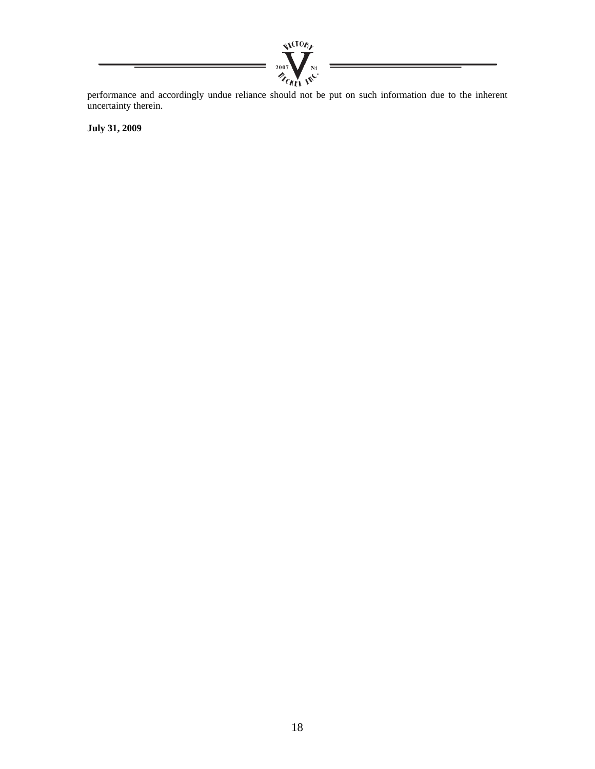

performance and accordingly undue reliance should not be put on such information due to the inherent uncertainty therein.

**July 31, 2009**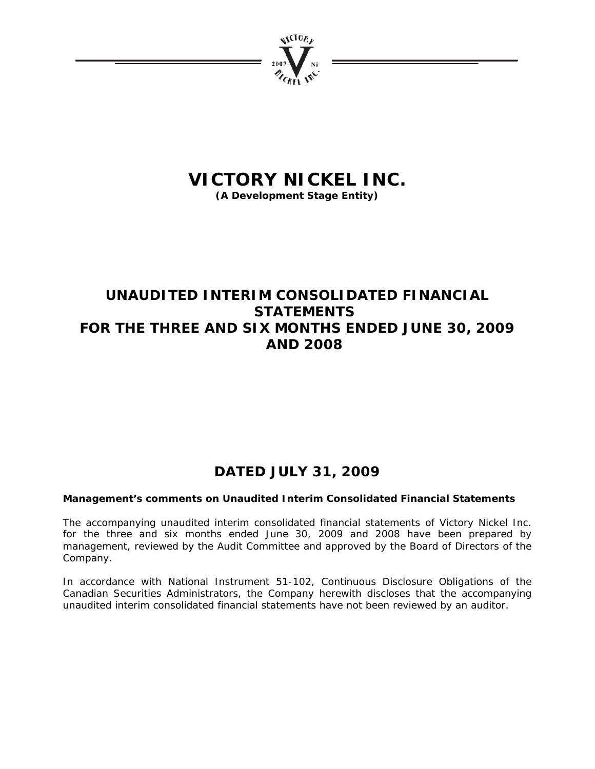

# **VICTORY NICKEL INC.**

**(A Development Stage Entity)** 

## **UNAUDITED INTERIM CONSOLIDATED FINANCIAL STATEMENTS FOR THE THREE AND SIX MONTHS ENDED JUNE 30, 2009 AND 2008**

## **DATED JULY 31, 2009**

## **Management's comments on Unaudited Interim Consolidated Financial Statements**

The accompanying unaudited interim consolidated financial statements of Victory Nickel Inc. for the three and six months ended June 30, 2009 and 2008 have been prepared by management, reviewed by the Audit Committee and approved by the Board of Directors of the Company.

In accordance with National Instrument 51-102, Continuous Disclosure Obligations of the Canadian Securities Administrators, the Company herewith discloses that the accompanying unaudited interim consolidated financial statements have not been reviewed by an auditor.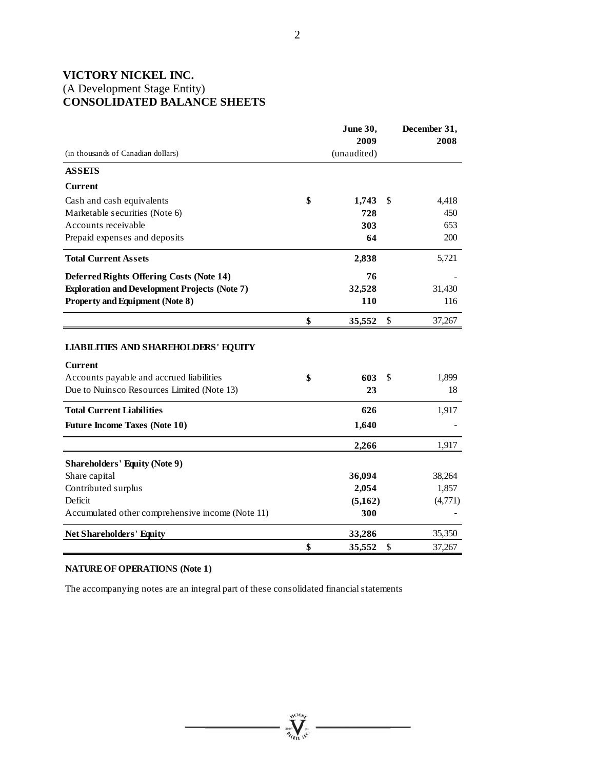## **VICTORY NICKEL INC.**  (A Development Stage Entity) **CONSOLIDATED BALANCE SHEETS**

|                                                      | June 30,     | December 31, |
|------------------------------------------------------|--------------|--------------|
|                                                      | 2009         | 2008         |
| (in thousands of Canadian dollars)                   | (unaudited)  |              |
| <b>ASSETS</b>                                        |              |              |
| <b>Current</b>                                       |              |              |
| Cash and cash equivalents                            | \$<br>1,743  | \$<br>4,418  |
| Marketable securities (Note 6)                       | 728          | 450          |
| Accounts receivable                                  | 303          | 653          |
| Prepaid expenses and deposits                        | 64           | 200          |
| <b>Total Current Assets</b>                          | 2,838        | 5,721        |
| <b>Deferred Rights Offering Costs (Note 14)</b>      | 76           |              |
| <b>Exploration and Development Projects (Note 7)</b> | 32,528       | 31,430       |
| <b>Property and Equipment (Note 8)</b>               | 110          | 116          |
|                                                      | \$<br>35,552 | \$<br>37,267 |
| <b>LIABILITIES AND SHAREHOLDERS' EQUITY</b>          |              |              |
| <b>Current</b>                                       |              |              |
| Accounts payable and accrued liabilities             | \$<br>603    | \$<br>1,899  |
| Due to Nuinsco Resources Limited (Note 13)           | 23           | 18           |
| <b>Total Current Liabilities</b>                     | 626          | 1,917        |
| <b>Future Income Taxes (Note 10)</b>                 | 1,640        |              |
|                                                      | 2,266        | 1,917        |
| <b>Shareholders' Equity (Note 9)</b>                 |              |              |
| Share capital                                        | 36,094       | 38,264       |
| Contributed surplus                                  | 2,054        | 1,857        |
| Deficit                                              | (5,162)      | (4,771)      |
| Accumulated other comprehensive income (Note 11)     | 300          |              |
| <b>Net Shareholders' Equity</b>                      | 33,286       | 35,350       |
|                                                      | \$<br>35,552 | \$<br>37,267 |

## **NATURE OF OPERATIONS (Note 1)**

The accompanying notes are an integral part of these consolidated financial statements

**William**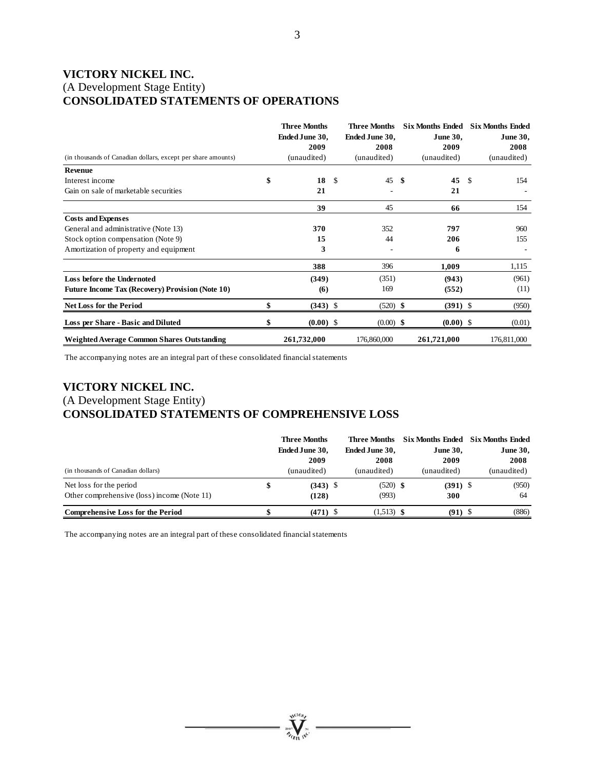## **VICTORY NICKEL INC.**  (A Development Stage Entity) **CONSOLIDATED STATEMENTS OF OPERATIONS**

| (in thousands of Canadian dollars, except per share amounts) | <b>Three Months</b><br>Ended June 30,<br>2009<br>(unaudited) | <b>Three Months</b><br>Ended June 30,<br>2008<br>(unaudited) | <b>Six Months Ended</b><br><b>June 30,</b><br>2009<br>(unaudited) |    | <b>Six Months Ended</b><br><b>June 30,</b><br>2008<br>(unaudited) |
|--------------------------------------------------------------|--------------------------------------------------------------|--------------------------------------------------------------|-------------------------------------------------------------------|----|-------------------------------------------------------------------|
| <b>Revenue</b>                                               |                                                              |                                                              |                                                                   |    |                                                                   |
| Interest income                                              | \$<br>18                                                     | \$<br>45S                                                    | 45                                                                | -S | 154                                                               |
| Gain on sale of marketable securities                        | 21                                                           |                                                              | 21                                                                |    |                                                                   |
|                                                              | 39                                                           | 45                                                           | 66                                                                |    | 154                                                               |
| <b>Costs and Expenses</b>                                    |                                                              |                                                              |                                                                   |    |                                                                   |
| General and administrative (Note 13)                         | 370                                                          | 352                                                          | 797                                                               |    | 960                                                               |
| Stock option compensation (Note 9)                           | 15                                                           | 44                                                           | 206                                                               |    | 155                                                               |
| Amortization of property and equipment                       | 3                                                            |                                                              | 6                                                                 |    |                                                                   |
|                                                              | 388                                                          | 396                                                          | 1,009                                                             |    | 1,115                                                             |
| Loss before the Undernoted                                   | (349)                                                        | (351)                                                        | (943)                                                             |    | (961)                                                             |
| <b>Future Income Tax (Recovery) Provision (Note 10)</b>      | (6)                                                          | 169                                                          | (552)                                                             |    | (11)                                                              |
| <b>Net Loss for the Period</b>                               | \$<br>$(343)$ \$                                             | $(520)$ \$                                                   | $(391)$ \$                                                        |    | (950)                                                             |
| Loss per Share - Basic and Diluted                           | \$<br>$(0.00)$ \$                                            | $(0.00)$ \$                                                  | $(0.00)$ \$                                                       |    | (0.01)                                                            |
| Weighted Average Common Shares Outstanding                   | 261,732,000                                                  | 176,860,000                                                  | 261,721,000                                                       |    | 176,811,000                                                       |

The accompanying notes are an integral part of these consolidated financial statements

## **VICTORY NICKEL INC.**  (A Development Stage Entity) **CONSOLIDATED STATEMENTS OF COMPREHENSIVE LOSS**

|                                             | <b>Three Months</b> | Three Months   |                 | Six Months Ended Six Months Ended |                 |
|---------------------------------------------|---------------------|----------------|-----------------|-----------------------------------|-----------------|
|                                             | Ended June 30,      | Ended June 30, | <b>June 30,</b> |                                   | <b>June 30,</b> |
|                                             | 2009                | 2008           | 2009            |                                   | 2008            |
| (in thousands of Canadian dollars)          | (unaudited)         | (unaudited)    | (unaudited)     |                                   | (unaudited)     |
| Net loss for the period                     | $(343)$ \$          | $(520)$ \$     | $(391)$ \$      |                                   | (950)           |
| Other comprehensive (loss) income (Note 11) | (128)               | (993)          | 300             |                                   | 64              |
| <b>Comprehensive Loss for the Period</b>    | $(471)$ \$          | $(1,513)$ \$   | $(91)$ \$       |                                   | (886)           |

 $\sum_{\gamma_{\alpha}}$ 

The accompanying notes are an integral part of these consolidated financial statements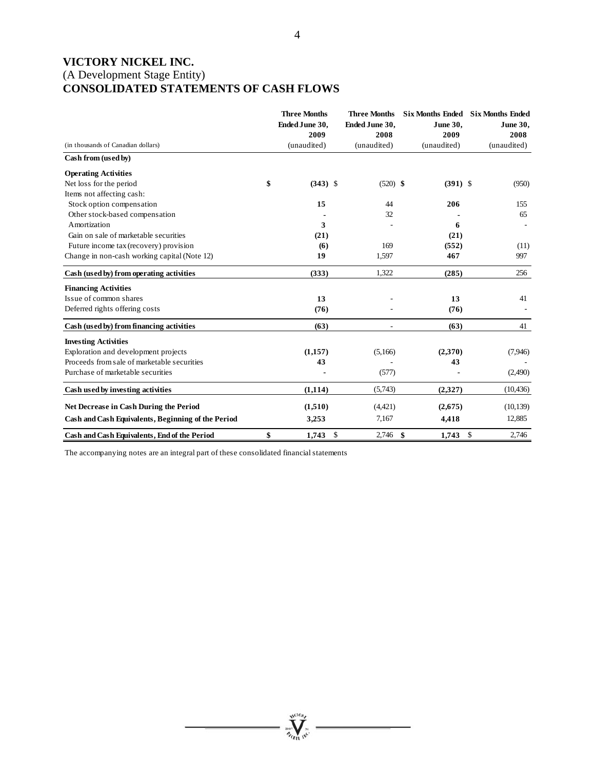## **VICTORY NICKEL INC.**  (A Development Stage Entity) **CONSOLIDATED STATEMENTS OF CASH FLOWS**

|                                                    | <b>Three Months</b><br>Ended June 30,<br>2009 | <b>Three Months</b><br>Ended June 30,<br>2008 | <b>June 30,</b><br>2009 | Six Months Ended Six Months Ended<br>June 30,<br>2008 |
|----------------------------------------------------|-----------------------------------------------|-----------------------------------------------|-------------------------|-------------------------------------------------------|
| (in thousands of Canadian dollars)                 | (unaudited)                                   | (unaudited)                                   | (unaudited)             | (unaudited)                                           |
| Cash from (used by)                                |                                               |                                               |                         |                                                       |
| <b>Operating Activities</b>                        |                                               |                                               |                         |                                                       |
| Net loss for the period                            | \$<br>$(343)$ \$                              | $(520)$ \$                                    | $(391)$ \$              | (950)                                                 |
| Items not affecting cash:                          |                                               |                                               |                         |                                                       |
| Stock option compensation                          | 15                                            | 44                                            | 206                     | 155                                                   |
| Other stock-based compensation                     |                                               | 32                                            |                         | 65                                                    |
| Amortization                                       | 3                                             |                                               | 6                       |                                                       |
| Gain on sale of marketable securities              | (21)                                          |                                               | (21)                    |                                                       |
| Future income tax (recovery) provision             | (6)                                           | 169                                           | (552)                   | (11)                                                  |
| Change in non-cash working capital (Note 12)       | 19                                            | 1,597                                         | 467                     | 997                                                   |
| Cash (used by) from operating activities           | (333)                                         | 1,322                                         | (285)                   | 256                                                   |
| <b>Financing Activities</b>                        |                                               |                                               |                         |                                                       |
| Issue of common shares                             | 13                                            |                                               | 13                      | 41                                                    |
| Deferred rights offering costs                     | (76)                                          |                                               | (76)                    |                                                       |
| Cash (used by) from financing activities           | (63)                                          |                                               | (63)                    | 41                                                    |
| <b>Investing Activities</b>                        |                                               |                                               |                         |                                                       |
| Exploration and development projects               | (1,157)                                       | (5,166)                                       | (2,370)                 | (7,946)                                               |
| Proceeds from sale of marketable securities        | 43                                            |                                               | 43                      |                                                       |
| Purchase of marketable securities                  |                                               | (577)                                         |                         | (2,490)                                               |
| Cash used by investing activities                  | (1, 114)                                      | (5,743)                                       | (2,327)                 | (10, 436)                                             |
| <b>Net Decrease in Cash During the Period</b>      | (1,510)                                       | (4,421)                                       | (2,675)                 | (10, 139)                                             |
| Cash and Cash Equivalents, Beginning of the Period | 3,253                                         | 7,167                                         | 4,418                   | 12,885                                                |
| Cash and Cash Equivalents, End of the Period       | \$<br>1,743                                   | $\mathbb{S}$<br>2,746                         | \$<br>1,743             | 2,746<br>\$                                           |

**Welling** 

The accompanying notes are an integral part of these consolidated financial statements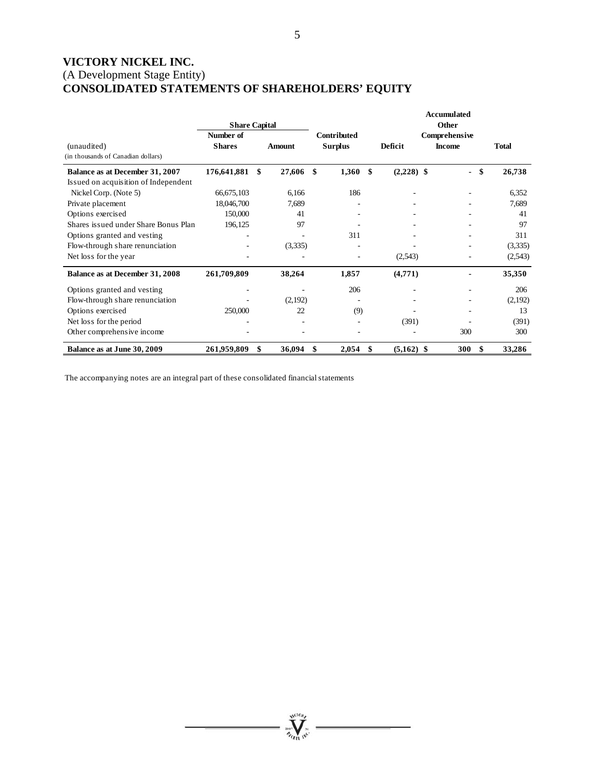## **VICTORY NICKEL INC.**  (A Development Stage Entity) **CONSOLIDATED STATEMENTS OF SHAREHOLDERS' EQUITY**

|                                      |                      |               |     |                    |                    | Accumulated   |              |
|--------------------------------------|----------------------|---------------|-----|--------------------|--------------------|---------------|--------------|
|                                      | <b>Share Capital</b> |               |     |                    |                    | Other         |              |
|                                      | Number of            |               |     | <b>Contributed</b> |                    | Comprehensive |              |
| (unaudited)                          | <b>Shares</b>        | <b>Amount</b> |     | <b>Surplus</b>     | Deficit            | <b>Income</b> | <b>Total</b> |
| (in thousands of Canadian dollars)   |                      |               |     |                    |                    |               |              |
| Balance as at December 31, 2007      | 176,641,881          | \$<br>27,606  | \$. | 1,360              | \$<br>$(2,228)$ \$ | \$            | 26,738       |
| Issued on acquisition of Independent |                      |               |     |                    |                    |               |              |
| Nickel Corp. (Note 5)                | 66,675,103           | 6,166         |     | 186                |                    |               | 6,352        |
| Private placement                    | 18,046,700           | 7,689         |     |                    |                    |               | 7,689        |
| Options exercised                    | 150,000              | 41            |     |                    |                    |               | 41           |
| Shares issued under Share Bonus Plan | 196,125              | 97            |     |                    |                    |               | 97           |
| Options granted and vesting          |                      |               |     | 311                |                    |               | 311          |
| Flow-through share renunciation      |                      | (3,335)       |     |                    |                    |               | (3,335)      |
| Net loss for the year                |                      |               |     |                    | (2,543)            |               | (2,543)      |
| Balance as at December 31, 2008      | 261,709,809          | 38,264        |     | 1,857              | (4,771)            |               | 35,350       |
| Options granted and vesting          |                      |               |     | 206                |                    |               | 206          |
| Flow-through share renunciation      |                      | (2,192)       |     |                    |                    |               | (2,192)      |
| Options exercised                    | 250,000              | 22            |     | (9)                |                    |               | 13           |
| Net loss for the period              |                      |               |     |                    | (391)              |               | (391)        |
| Other comprehensive income           |                      |               |     |                    |                    | 300           | 300          |
| Balance as at June 30, 2009          | 261,959,809          | \$<br>36,094  | S   | 2,054              | \$<br>$(5,162)$ \$ | 300           | 33,286       |

**William** 

The accompanying notes are an integral part of these consolidated financial statements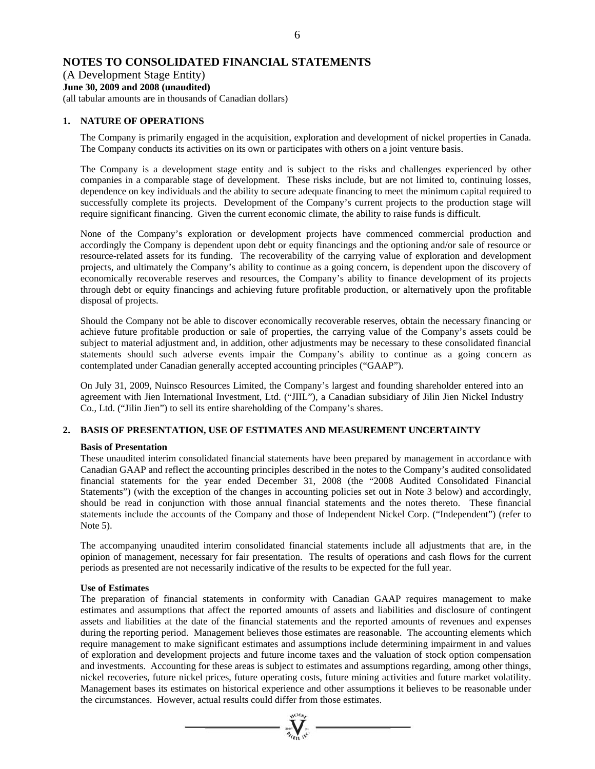### 6

### **NOTES TO CONSOLIDATED FINANCIAL STATEMENTS**

(A Development Stage Entity) **June 30, 2009 and 2008 (unaudited)** 

(all tabular amounts are in thousands of Canadian dollars)

### **1. NATURE OF OPERATIONS**

The Company is primarily engaged in the acquisition, exploration and development of nickel properties in Canada. The Company conducts its activities on its own or participates with others on a joint venture basis.

The Company is a development stage entity and is subject to the risks and challenges experienced by other companies in a comparable stage of development. These risks include, but are not limited to, continuing losses, dependence on key individuals and the ability to secure adequate financing to meet the minimum capital required to successfully complete its projects. Development of the Company's current projects to the production stage will require significant financing. Given the current economic climate, the ability to raise funds is difficult.

None of the Company's exploration or development projects have commenced commercial production and accordingly the Company is dependent upon debt or equity financings and the optioning and/or sale of resource or resource-related assets for its funding. The recoverability of the carrying value of exploration and development projects, and ultimately the Company's ability to continue as a going concern, is dependent upon the discovery of economically recoverable reserves and resources, the Company's ability to finance development of its projects through debt or equity financings and achieving future profitable production, or alternatively upon the profitable disposal of projects.

Should the Company not be able to discover economically recoverable reserves, obtain the necessary financing or achieve future profitable production or sale of properties, the carrying value of the Company's assets could be subject to material adjustment and, in addition, other adjustments may be necessary to these consolidated financial statements should such adverse events impair the Company's ability to continue as a going concern as contemplated under Canadian generally accepted accounting principles ("GAAP").

On July 31, 2009, Nuinsco Resources Limited, the Company's largest and founding shareholder entered into an agreement with Jien International Investment, Ltd. ("JIIL"), a Canadian subsidiary of Jilin Jien Nickel Industry Co., Ltd. ("Jilin Jien") to sell its entire shareholding of the Company's shares.

### **2. BASIS OF PRESENTATION, USE OF ESTIMATES AND MEASUREMENT UNCERTAINTY**

### **Basis of Presentation**

These unaudited interim consolidated financial statements have been prepared by management in accordance with Canadian GAAP and reflect the accounting principles described in the notes to the Company's audited consolidated financial statements for the year ended December 31, 2008 (the "2008 Audited Consolidated Financial Statements") (with the exception of the changes in accounting policies set out in Note 3 below) and accordingly, should be read in conjunction with those annual financial statements and the notes thereto. These financial statements include the accounts of the Company and those of Independent Nickel Corp. ("Independent") (refer to Note 5).

The accompanying unaudited interim consolidated financial statements include all adjustments that are, in the opinion of management, necessary for fair presentation. The results of operations and cash flows for the current periods as presented are not necessarily indicative of the results to be expected for the full year.

### **Use of Estimates**

The preparation of financial statements in conformity with Canadian GAAP requires management to make estimates and assumptions that affect the reported amounts of assets and liabilities and disclosure of contingent assets and liabilities at the date of the financial statements and the reported amounts of revenues and expenses during the reporting period. Management believes those estimates are reasonable. The accounting elements which require management to make significant estimates and assumptions include determining impairment in and values of exploration and development projects and future income taxes and the valuation of stock option compensation and investments. Accounting for these areas is subject to estimates and assumptions regarding, among other things, nickel recoveries, future nickel prices, future operating costs, future mining activities and future market volatility. Management bases its estimates on historical experience and other assumptions it believes to be reasonable under the circumstances. However, actual results could differ from those estimates.

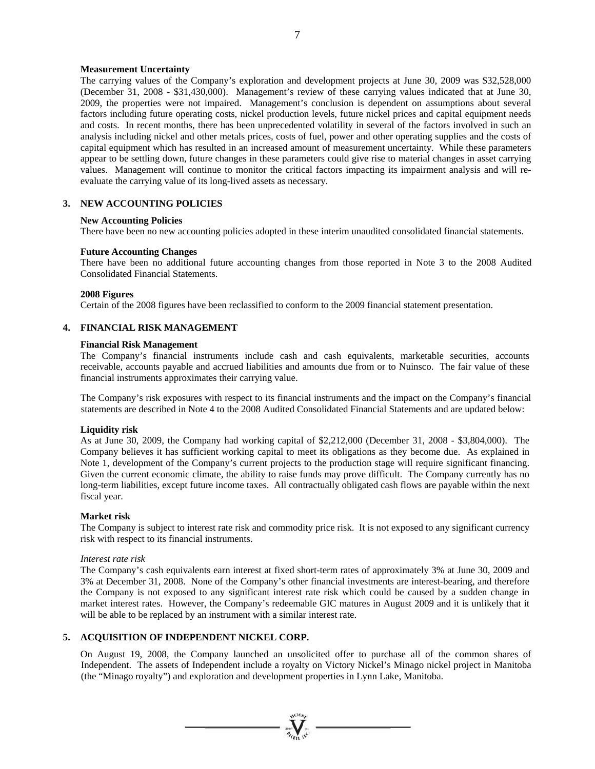### **Measurement Uncertainty**

The carrying values of the Company's exploration and development projects at June 30, 2009 was \$32,528,000 (December 31, 2008 - \$31,430,000). Management's review of these carrying values indicated that at June 30, 2009, the properties were not impaired. Management's conclusion is dependent on assumptions about several factors including future operating costs, nickel production levels, future nickel prices and capital equipment needs and costs. In recent months, there has been unprecedented volatility in several of the factors involved in such an analysis including nickel and other metals prices, costs of fuel, power and other operating supplies and the costs of capital equipment which has resulted in an increased amount of measurement uncertainty. While these parameters appear to be settling down, future changes in these parameters could give rise to material changes in asset carrying values. Management will continue to monitor the critical factors impacting its impairment analysis and will reevaluate the carrying value of its long-lived assets as necessary.

### **3. NEW ACCOUNTING POLICIES**

### **New Accounting Policies**

There have been no new accounting policies adopted in these interim unaudited consolidated financial statements.

### **Future Accounting Changes**

There have been no additional future accounting changes from those reported in Note 3 to the 2008 Audited Consolidated Financial Statements.

### **2008 Figures**

Certain of the 2008 figures have been reclassified to conform to the 2009 financial statement presentation.

### **4. FINANCIAL RISK MANAGEMENT**

### **Financial Risk Management**

The Company's financial instruments include cash and cash equivalents, marketable securities, accounts receivable, accounts payable and accrued liabilities and amounts due from or to Nuinsco. The fair value of these financial instruments approximates their carrying value.

The Company's risk exposures with respect to its financial instruments and the impact on the Company's financial statements are described in Note 4 to the 2008 Audited Consolidated Financial Statements and are updated below:

### **Liquidity risk**

As at June 30, 2009, the Company had working capital of \$2,212,000 (December 31, 2008 - \$3,804,000). The Company believes it has sufficient working capital to meet its obligations as they become due. As explained in Note 1, development of the Company's current projects to the production stage will require significant financing. Given the current economic climate, the ability to raise funds may prove difficult. The Company currently has no long-term liabilities, except future income taxes. All contractually obligated cash flows are payable within the next fiscal year.

### **Market risk**

The Company is subject to interest rate risk and commodity price risk. It is not exposed to any significant currency risk with respect to its financial instruments.

### *Interest rate risk*

The Company's cash equivalents earn interest at fixed short-term rates of approximately 3% at June 30, 2009 and 3% at December 31, 2008. None of the Company's other financial investments are interest-bearing, and therefore the Company is not exposed to any significant interest rate risk which could be caused by a sudden change in market interest rates. However, the Company's redeemable GIC matures in August 2009 and it is unlikely that it will be able to be replaced by an instrument with a similar interest rate.

### **5. ACQUISITION OF INDEPENDENT NICKEL CORP.**

On August 19, 2008, the Company launched an unsolicited offer to purchase all of the common shares of Independent. The assets of Independent include a royalty on Victory Nickel's Minago nickel project in Manitoba (the "Minago royalty") and exploration and development properties in Lynn Lake, Manitoba.

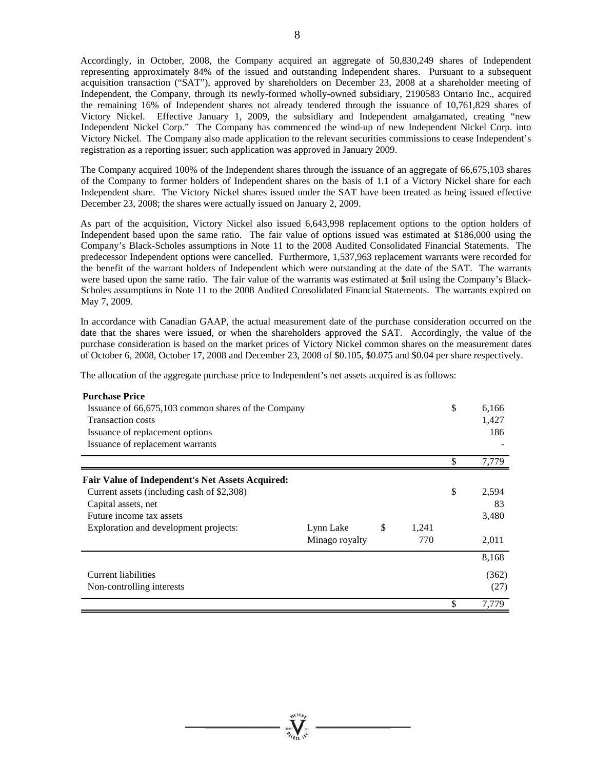Accordingly, in October, 2008, the Company acquired an aggregate of 50,830,249 shares of Independent representing approximately 84% of the issued and outstanding Independent shares. Pursuant to a subsequent acquisition transaction ("SAT"), approved by shareholders on December 23, 2008 at a shareholder meeting of Independent, the Company, through its newly-formed wholly-owned subsidiary, 2190583 Ontario Inc., acquired the remaining 16% of Independent shares not already tendered through the issuance of 10,761,829 shares of Victory Nickel. Effective January 1, 2009, the subsidiary and Independent amalgamated, creating "new Independent Nickel Corp." The Company has commenced the wind-up of new Independent Nickel Corp. into Victory Nickel. The Company also made application to the relevant securities commissions to cease Independent's registration as a reporting issuer; such application was approved in January 2009.

The Company acquired 100% of the Independent shares through the issuance of an aggregate of 66,675,103 shares of the Company to former holders of Independent shares on the basis of 1.1 of a Victory Nickel share for each Independent share. The Victory Nickel shares issued under the SAT have been treated as being issued effective December 23, 2008; the shares were actually issued on January 2, 2009.

As part of the acquisition, Victory Nickel also issued 6,643,998 replacement options to the option holders of Independent based upon the same ratio. The fair value of options issued was estimated at \$186,000 using the Company's Black-Scholes assumptions in Note 11 to the 2008 Audited Consolidated Financial Statements. The predecessor Independent options were cancelled. Furthermore, 1,537,963 replacement warrants were recorded for the benefit of the warrant holders of Independent which were outstanding at the date of the SAT. The warrants were based upon the same ratio. The fair value of the warrants was estimated at \$nil using the Company's Black-Scholes assumptions in Note 11 to the 2008 Audited Consolidated Financial Statements. The warrants expired on May 7, 2009.

In accordance with Canadian GAAP, the actual measurement date of the purchase consideration occurred on the date that the shares were issued, or when the shareholders approved the SAT. Accordingly, the value of the purchase consideration is based on the market prices of Victory Nickel common shares on the measurement dates of October 6, 2008, October 17, 2008 and December 23, 2008 of \$0.105, \$0.075 and \$0.04 per share respectively.

The allocation of the aggregate purchase price to Independent's net assets acquired is as follows:

| <b>Purchase Price</b>                               |                |             |    |       |
|-----------------------------------------------------|----------------|-------------|----|-------|
| Issuance of 66,675,103 common shares of the Company |                |             | \$ | 6,166 |
| <b>Transaction costs</b>                            |                |             |    | 1,427 |
| Issuance of replacement options                     |                |             |    | 186   |
| Issuance of replacement warrants                    |                |             |    |       |
|                                                     |                |             | \$ | 7,779 |
| Fair Value of Independent's Net Assets Acquired:    |                |             |    |       |
| Current assets (including cash of \$2,308)          |                |             | \$ | 2,594 |
| Capital assets, net                                 |                |             |    | 83    |
| Future income tax assets                            |                |             |    | 3,480 |
| Exploration and development projects:               | Lynn Lake      | \$<br>1,241 |    |       |
|                                                     | Minago royalty | 770         |    | 2,011 |
|                                                     |                |             |    | 8,168 |
| <b>Current liabilities</b>                          |                |             |    | (362) |
| Non-controlling interests                           |                |             |    | (27)  |
|                                                     |                |             | S  | 7,779 |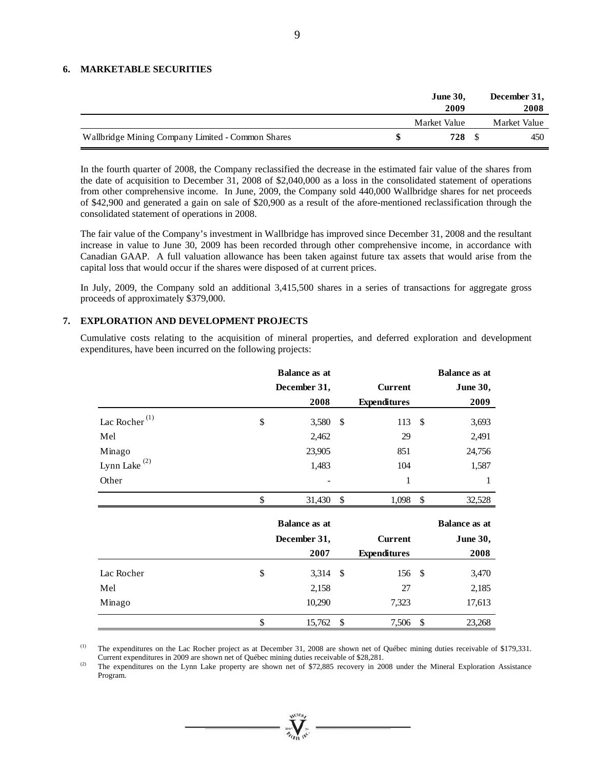### **6. MARKETABLE SECURITIES**

|                                                   | <b>June 30,</b><br>2009 | December 31,<br>2008 |
|---------------------------------------------------|-------------------------|----------------------|
|                                                   | Market Value            | Market Value         |
| Wallbridge Mining Company Limited - Common Shares | 728                     | 450                  |

In the fourth quarter of 2008, the Company reclassified the decrease in the estimated fair value of the shares from the date of acquisition to December 31, 2008 of \$2,040,000 as a loss in the consolidated statement of operations from other comprehensive income. In June, 2009, the Company sold 440,000 Wallbridge shares for net proceeds of \$42,900 and generated a gain on sale of \$20,900 as a result of the afore-mentioned reclassification through the consolidated statement of operations in 2008.

The fair value of the Company's investment in Wallbridge has improved since December 31, 2008 and the resultant increase in value to June 30, 2009 has been recorded through other comprehensive income, in accordance with Canadian GAAP. A full valuation allowance has been taken against future tax assets that would arise from the capital loss that would occur if the shares were disposed of at current prices.

In July, 2009, the Company sold an additional 3,415,500 shares in a series of transactions for aggregate gross proceeds of approximately \$379,000.

### **7. EXPLORATION AND DEVELOPMENT PROJECTS**

Cumulative costs relating to the acquisition of mineral properties, and deferred exploration and development expenditures, have been incurred on the following projects:

|                           | <b>Balance as at</b> |            |                     |     | <b>Balance as at</b> |
|---------------------------|----------------------|------------|---------------------|-----|----------------------|
|                           | December 31,         |            | <b>Current</b>      |     | <b>June 30,</b>      |
|                           | 2008                 |            | <b>Expenditures</b> |     | 2009                 |
| Lac Rocher <sup>(1)</sup> | \$<br>3,580          | - \$       | 113                 | -\$ | 3,693                |
| Mel                       | 2,462                |            | 29                  |     | 2,491                |
| Minago                    | 23,905               |            | 851                 |     | 24,756               |
| Lynn Lake $^{(2)}$        | 1,483                |            | 104                 |     | 1,587                |
| Other                     | ۰                    |            | 1                   |     | 1                    |
|                           | \$<br>31,430         | $\sqrt{3}$ | 1,098               | \$  | 32,528               |
|                           | <b>Balance as at</b> |            |                     |     | <b>Balance as at</b> |
|                           | December 31,         |            | <b>Current</b>      |     | <b>June 30,</b>      |
|                           | 2007                 |            | <b>Expenditures</b> |     | 2008                 |
| Lac Rocher                | \$<br>3,314          | - \$       | 156                 | -\$ | 3,470                |
| Mel                       | 2,158                |            | 27                  |     | 2,185                |
| Minago                    | 10,290               |            | 7,323               |     | 17,613               |
|                           |                      |            |                     |     |                      |
|                           | \$<br>15,762         | \$         | 7,506               | \$  | 23,268               |

<sup>(1)</sup> The expenditures on the Lac Rocher project as at December 31, 2008 are shown net of Québec mining duties receivable of \$179,331.

Current expenditures in 2009 are shown net of Québec mining duties receivable of \$28,281.<br><sup>(2)</sup> The expenditures on the Lynn Lake property are shown net of \$72,885 recovery in 2008 under the Mineral Exploration Assistance Program.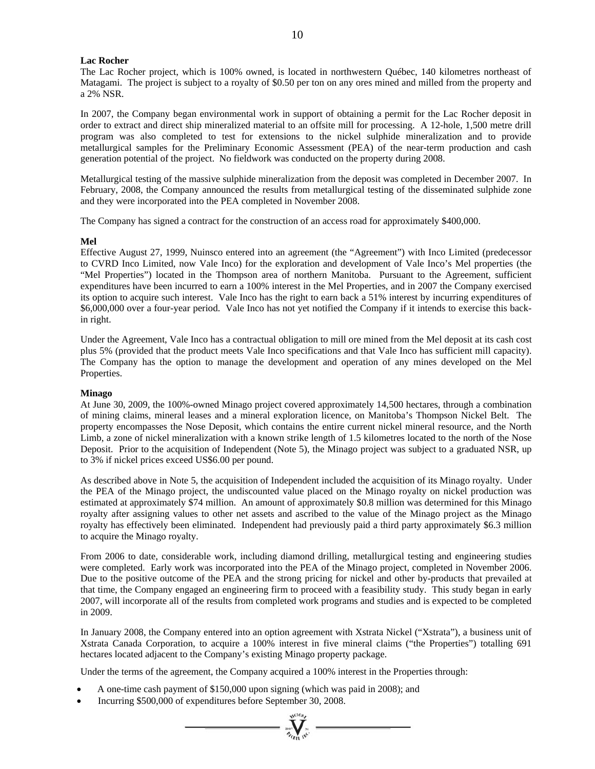### **Lac Rocher**

The Lac Rocher project, which is 100% owned, is located in northwestern Québec, 140 kilometres northeast of Matagami. The project is subject to a royalty of \$0.50 per ton on any ores mined and milled from the property and a 2% NSR.

In 2007, the Company began environmental work in support of obtaining a permit for the Lac Rocher deposit in order to extract and direct ship mineralized material to an offsite mill for processing. A 12-hole, 1,500 metre drill program was also completed to test for extensions to the nickel sulphide mineralization and to provide metallurgical samples for the Preliminary Economic Assessment (PEA) of the near-term production and cash generation potential of the project. No fieldwork was conducted on the property during 2008.

Metallurgical testing of the massive sulphide mineralization from the deposit was completed in December 2007. In February, 2008, the Company announced the results from metallurgical testing of the disseminated sulphide zone and they were incorporated into the PEA completed in November 2008.

The Company has signed a contract for the construction of an access road for approximately \$400,000.

### **Mel**

Effective August 27, 1999, Nuinsco entered into an agreement (the "Agreement") with Inco Limited (predecessor to CVRD Inco Limited, now Vale Inco) for the exploration and development of Vale Inco's Mel properties (the "Mel Properties") located in the Thompson area of northern Manitoba. Pursuant to the Agreement, sufficient expenditures have been incurred to earn a 100% interest in the Mel Properties, and in 2007 the Company exercised its option to acquire such interest. Vale Inco has the right to earn back a 51% interest by incurring expenditures of \$6,000,000 over a four-year period. Vale Inco has not yet notified the Company if it intends to exercise this backin right.

Under the Agreement, Vale Inco has a contractual obligation to mill ore mined from the Mel deposit at its cash cost plus 5% (provided that the product meets Vale Inco specifications and that Vale Inco has sufficient mill capacity). The Company has the option to manage the development and operation of any mines developed on the Mel Properties.

### **Minago**

At June 30, 2009, the 100%-owned Minago project covered approximately 14,500 hectares, through a combination of mining claims, mineral leases and a mineral exploration licence, on Manitoba's Thompson Nickel Belt. The property encompasses the Nose Deposit, which contains the entire current nickel mineral resource, and the North Limb, a zone of nickel mineralization with a known strike length of 1.5 kilometres located to the north of the Nose Deposit. Prior to the acquisition of Independent (Note 5), the Minago project was subject to a graduated NSR, up to 3% if nickel prices exceed US\$6.00 per pound.

As described above in Note 5, the acquisition of Independent included the acquisition of its Minago royalty. Under the PEA of the Minago project, the undiscounted value placed on the Minago royalty on nickel production was estimated at approximately \$74 million. An amount of approximately \$0.8 million was determined for this Minago royalty after assigning values to other net assets and ascribed to the value of the Minago project as the Minago royalty has effectively been eliminated. Independent had previously paid a third party approximately \$6.3 million to acquire the Minago royalty.

From 2006 to date, considerable work, including diamond drilling, metallurgical testing and engineering studies were completed. Early work was incorporated into the PEA of the Minago project, completed in November 2006. Due to the positive outcome of the PEA and the strong pricing for nickel and other by-products that prevailed at that time, the Company engaged an engineering firm to proceed with a feasibility study. This study began in early 2007, will incorporate all of the results from completed work programs and studies and is expected to be completed in 2009.

In January 2008, the Company entered into an option agreement with Xstrata Nickel ("Xstrata"), a business unit of Xstrata Canada Corporation, to acquire a 100% interest in five mineral claims ("the Properties") totalling 691 hectares located adjacent to the Company's existing Minago property package.

Under the terms of the agreement, the Company acquired a 100% interest in the Properties through:

- A one-time cash payment of \$150,000 upon signing (which was paid in 2008); and
- Incurring \$500,000 of expenditures before September 30, 2008.

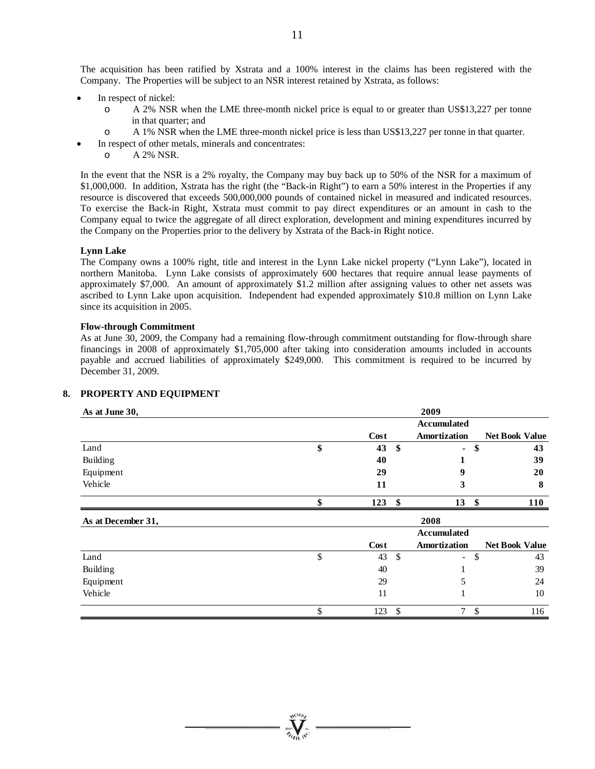The acquisition has been ratified by Xstrata and a 100% interest in the claims has been registered with the Company. The Properties will be subject to an NSR interest retained by Xstrata, as follows:

- In respect of nickel:
	- o A 2% NSR when the LME three-month nickel price is equal to or greater than US\$13,227 per tonne in that quarter; and
	- o A 1% NSR when the LME three-month nickel price is less than US\$13,227 per tonne in that quarter.
- In respect of other metals, minerals and concentrates:
	- o A 2% NSR.

In the event that the NSR is a 2% royalty, the Company may buy back up to 50% of the NSR for a maximum of \$1,000,000. In addition, Xstrata has the right (the "Back-in Right") to earn a 50% interest in the Properties if any resource is discovered that exceeds 500,000,000 pounds of contained nickel in measured and indicated resources. To exercise the Back-in Right, Xstrata must commit to pay direct expenditures or an amount in cash to the Company equal to twice the aggregate of all direct exploration, development and mining expenditures incurred by the Company on the Properties prior to the delivery by Xstrata of the Back-in Right notice.

### **Lynn Lake**

The Company owns a 100% right, title and interest in the Lynn Lake nickel property ("Lynn Lake"), located in northern Manitoba. Lynn Lake consists of approximately 600 hectares that require annual lease payments of approximately \$7,000. An amount of approximately \$1.2 million after assigning values to other net assets was ascribed to Lynn Lake upon acquisition. Independent had expended approximately \$10.8 million on Lynn Lake since its acquisition in 2005.

### **Flow-through Commitment**

As at June 30, 2009, the Company had a remaining flow-through commitment outstanding for flow-through share financings in 2008 of approximately \$1,705,000 after taking into consideration amounts included in accounts payable and accrued liabilities of approximately \$249,000. This commitment is required to be incurred by December 31, 2009.

### **8. PROPERTY AND EQUIPMENT**

| As at June 30,     |           |              | 2009                     |      |                       |
|--------------------|-----------|--------------|--------------------------|------|-----------------------|
|                    |           |              | Accumulated              |      |                       |
|                    | Cost      |              | Amortization             |      | <b>Net Book Value</b> |
| Land               | \$<br>43  | \$           | ۰.                       | \$   | 43                    |
| Building           | 40        |              |                          |      | 39                    |
| Equipment          | 29        |              | 9                        |      | 20                    |
| Vehicle            | 11        |              | 3                        |      | 8                     |
|                    | \$<br>123 | \$           | 13                       | - \$ | <b>110</b>            |
| As at December 31, |           |              | 2008                     |      |                       |
|                    |           |              | <b>Accumulated</b>       |      |                       |
|                    | Cost      |              | Amortization             |      | <b>Net Book Value</b> |
|                    |           |              |                          |      |                       |
| Land               | \$<br>43  | $\mathbb{S}$ | $\overline{\phantom{0}}$ | \$   | 43                    |
| Building           | 40        |              |                          |      | 39                    |
| Equipment          | 29        |              | 5                        |      | 24                    |
| Vehicle            | 11        |              |                          |      | 10                    |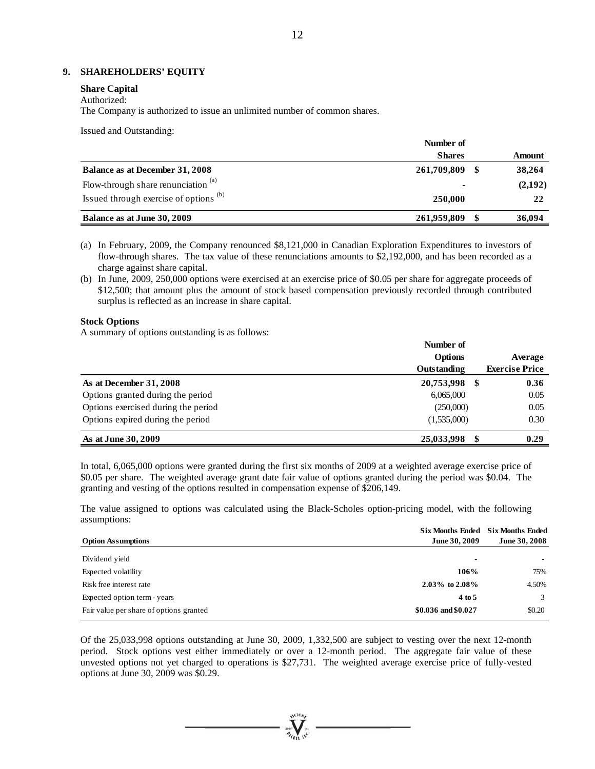### **9. SHAREHOLDERS' EQUITY**

#### **Share Capital**

### Authorized:

The Company is authorized to issue an unlimited number of common shares.

Issued and Outstanding:

|                                                | Number of      |  |         |  |
|------------------------------------------------|----------------|--|---------|--|
|                                                | <b>Shares</b>  |  | Amount  |  |
| Balance as at December 31, 2008                | 261,709,809    |  | 38,264  |  |
| Flow-through share renunciation <sup>(a)</sup> | $\blacksquare$ |  | (2,192) |  |
| Issued through exercise of options (b)         | 250,000        |  | 22      |  |
| Balance as at June 30, 2009                    | 261,959,809    |  | 36,094  |  |

(a) In February, 2009, the Company renounced \$8,121,000 in Canadian Exploration Expenditures to investors of flow-through shares. The tax value of these renunciations amounts to \$2,192,000, and has been recorded as a charge against share capital.

(b) In June, 2009, 250,000 options were exercised at an exercise price of \$0.05 per share for aggregate proceeds of \$12,500; that amount plus the amount of stock based compensation previously recorded through contributed surplus is reflected as an increase in share capital.

### **Stock Options**

A summary of options outstanding is as follows:

|                                     | Number of          |                       |  |
|-------------------------------------|--------------------|-----------------------|--|
|                                     | <b>Options</b>     | Average               |  |
|                                     | <b>Outstanding</b> | <b>Exercise Price</b> |  |
| As at December 31, 2008             | 20,753,998<br>-SS  | 0.36                  |  |
| Options granted during the period   | 6,065,000          | 0.05                  |  |
| Options exercised during the period | (250,000)          | 0.05                  |  |
| Options expired during the period   | (1,535,000)        | 0.30                  |  |
| As at June 30, 2009                 | 25,033,998         | 0.29                  |  |

In total, 6,065,000 options were granted during the first six months of 2009 at a weighted average exercise price of \$0.05 per share. The weighted average grant date fair value of options granted during the period was \$0.04. The granting and vesting of the options resulted in compensation expense of \$206,149.

The value assigned to options was calculated using the Black-Scholes option-pricing model, with the following assumptions:

|                                         | <b>Six Months Ended</b>  | <b>Six Months Ended</b> |
|-----------------------------------------|--------------------------|-------------------------|
| <b>Option Assumptions</b>               | June 30, 2009            | June 30, 2008           |
| Dividend yield                          | $\overline{\phantom{a}}$ |                         |
| Expected volatility                     | 106%                     | 75%                     |
| Risk free interest rate                 | $2.03\%$ to $2.08\%$     | 4.50%                   |
| Expected option term - years            | 4 to 5                   | 3                       |
| Fair value per share of options granted | \$0.036 and \$0.027      | \$0.20                  |

Of the 25,033,998 options outstanding at June 30, 2009, 1,332,500 are subject to vesting over the next 12-month period. Stock options vest either immediately or over a 12-month period. The aggregate fair value of these unvested options not yet charged to operations is \$27,731. The weighted average exercise price of fully-vested options at June 30, 2009 was \$0.29.

 $\mathbf{V}$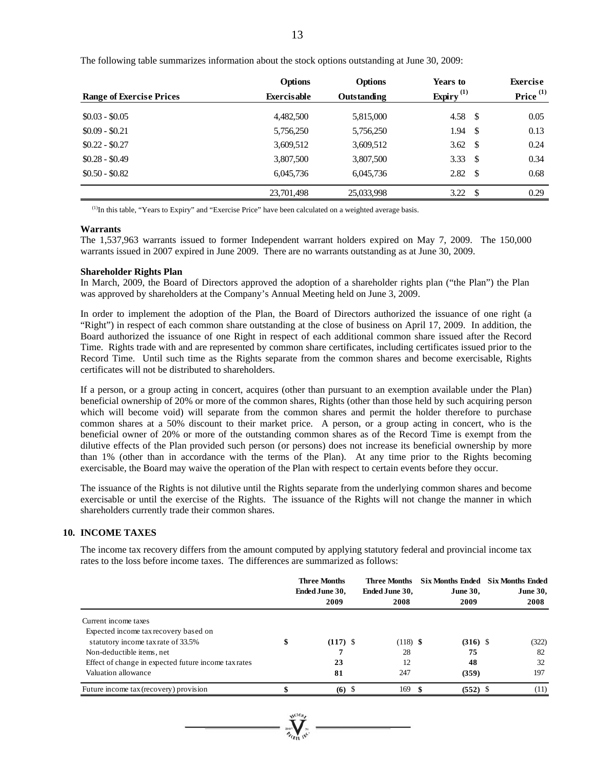| <b>Range of Exercise Prices</b> | <b>Options</b><br><b>Exercisable</b> | <b>Options</b><br>Outstanding | Years to<br>Expiry $^{(1)}$ |      | <b>Exercise</b><br>Price <sup>(1)</sup> |
|---------------------------------|--------------------------------------|-------------------------------|-----------------------------|------|-----------------------------------------|
| $$0.03 - $0.05$                 | 4,482,500                            | 5,815,000                     | 4.58 $\sqrt{5}$             |      | 0.05                                    |
| $$0.09 - $0.21$                 | 5,756,250                            | 5,756,250                     | 1.94                        | - \$ | 0.13                                    |
| $$0.22 - $0.27$                 | 3,609,512                            | 3,609,512                     | 3.62                        | -S   | 0.24                                    |
| $$0.28 - $0.49$                 | 3,807,500                            | 3,807,500                     | 3.33                        | -S   | 0.34                                    |
| $$0.50 - $0.82$$                | 6,045,736                            | 6,045,736                     | 2.82                        | -S   | 0.68                                    |
|                                 | 23,701,498                           | 25,033,998                    | 3.22                        | \$.  | 0.29                                    |

The following table summarizes information about the stock options outstanding at June 30, 2009:

(1)In this table, "Years to Expiry" and "Exercise Price" have been calculated on a weighted average basis.

### **Warrants**

The 1,537,963 warrants issued to former Independent warrant holders expired on May 7, 2009. The 150,000 warrants issued in 2007 expired in June 2009. There are no warrants outstanding as at June 30, 2009.

#### **Shareholder Rights Plan**

In March, 2009, the Board of Directors approved the adoption of a shareholder rights plan ("the Plan") the Plan was approved by shareholders at the Company's Annual Meeting held on June 3, 2009.

In order to implement the adoption of the Plan, the Board of Directors authorized the issuance of one right (a "Right") in respect of each common share outstanding at the close of business on April 17, 2009. In addition, the Board authorized the issuance of one Right in respect of each additional common share issued after the Record Time. Rights trade with and are represented by common share certificates, including certificates issued prior to the Record Time. Until such time as the Rights separate from the common shares and become exercisable, Rights certificates will not be distributed to shareholders.

If a person, or a group acting in concert, acquires (other than pursuant to an exemption available under the Plan) beneficial ownership of 20% or more of the common shares, Rights (other than those held by such acquiring person which will become void) will separate from the common shares and permit the holder therefore to purchase common shares at a 50% discount to their market price. A person, or a group acting in concert, who is the beneficial owner of 20% or more of the outstanding common shares as of the Record Time is exempt from the dilutive effects of the Plan provided such person (or persons) does not increase its beneficial ownership by more than 1% (other than in accordance with the terms of the Plan). At any time prior to the Rights becoming exercisable, the Board may waive the operation of the Plan with respect to certain events before they occur.

The issuance of the Rights is not dilutive until the Rights separate from the underlying common shares and become exercisable or until the exercise of the Rights. The issuance of the Rights will not change the manner in which shareholders currently trade their common shares.

### **10. INCOME TAXES**

The income tax recovery differs from the amount computed by applying statutory federal and provincial income tax rates to the loss before income taxes. The differences are summarized as follows:

|                                                      |    | <b>Three Months</b><br>Ended June 30,<br>2009 | Three Months<br>Ended June 30,<br>2008 | <b>Six Months Ended</b><br><b>June 30,</b><br>2009 | <b>Six Months Ended</b><br><b>June 30,</b><br>2008 |
|------------------------------------------------------|----|-----------------------------------------------|----------------------------------------|----------------------------------------------------|----------------------------------------------------|
| Current income taxes                                 |    |                                               |                                        |                                                    |                                                    |
| Expected income tax recovery based on                |    |                                               |                                        |                                                    |                                                    |
| statutory income tax rate of 33.5%                   | \$ | $(117)$ \$                                    | $(118)$ \$                             | $(316)$ \$                                         | (322)                                              |
| Non-deductible items, net                            |    |                                               | 28                                     | 75                                                 | 82                                                 |
| Effect of change in expected future income tax rates |    | 23                                            | 12                                     | 48                                                 | 32                                                 |
| Valuation allowance                                  |    | 81                                            | 247                                    | (359)                                              | 197                                                |
| Future income tax (recovery) provision               |    | $(6)$ \$                                      | 169                                    | $(552)$ \$                                         | (11)                                               |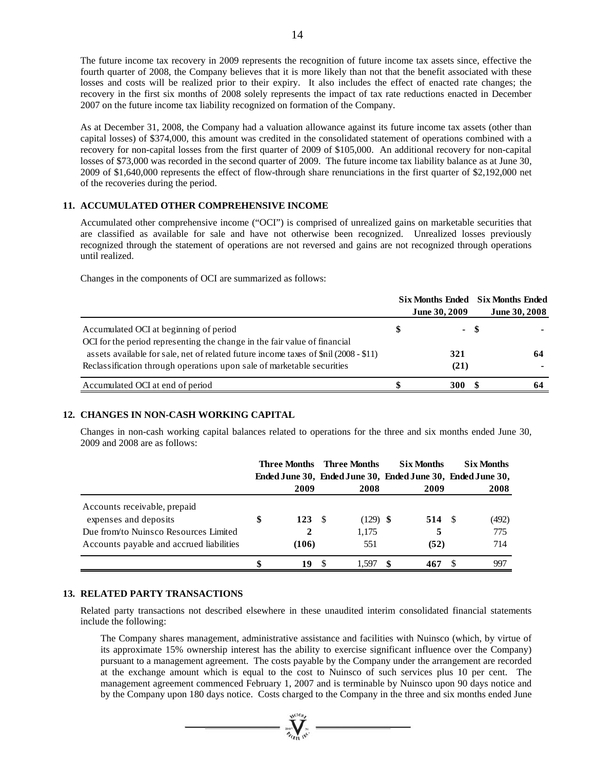The future income tax recovery in 2009 represents the recognition of future income tax assets since, effective the fourth quarter of 2008, the Company believes that it is more likely than not that the benefit associated with these losses and costs will be realized prior to their expiry. It also includes the effect of enacted rate changes; the recovery in the first six months of 2008 solely represents the impact of tax rate reductions enacted in December 2007 on the future income tax liability recognized on formation of the Company.

As at December 31, 2008, the Company had a valuation allowance against its future income tax assets (other than capital losses) of \$374,000, this amount was credited in the consolidated statement of operations combined with a recovery for non-capital losses from the first quarter of 2009 of \$105,000. An additional recovery for non-capital losses of \$73,000 was recorded in the second quarter of 2009. The future income tax liability balance as at June 30, 2009 of \$1,640,000 represents the effect of flow-through share renunciations in the first quarter of \$2,192,000 net of the recoveries during the period.

### **11. ACCUMULATED OTHER COMPREHENSIVE INCOME**

Accumulated other comprehensive income ("OCI") is comprised of unrealized gains on marketable securities that are classified as available for sale and have not otherwise been recognized. Unrealized losses previously recognized through the statement of operations are not reversed and gains are not recognized through operations until realized.

Changes in the components of OCI are summarized as follows:

|                                                                                                                                                                | Six Months Ended Six Months Ended<br><b>June 30, 2009</b> | June 30, 2008 |
|----------------------------------------------------------------------------------------------------------------------------------------------------------------|-----------------------------------------------------------|---------------|
| Accumulated OCI at beginning of period<br>OCI for the period representing the change in the fair value of financial                                            | - \$                                                      |               |
| assets available for sale, net of related future income taxes of \$nil (2008 - \$11)<br>Reclassification through operations upon sale of marketable securities | 321<br>(21)                                               | 64            |
| Accumulated OCI at end of period                                                                                                                               | <b>300</b>                                                |               |

### **12. CHANGES IN NON-CASH WORKING CAPITAL**

Changes in non-cash working capital balances related to operations for the three and six months ended June 30, 2009 and 2008 are as follows:

|                                                                                                                                            | Three Months      | Three Months                       | <b>Six Months</b> | <b>Six Months</b>                                           |  |
|--------------------------------------------------------------------------------------------------------------------------------------------|-------------------|------------------------------------|-------------------|-------------------------------------------------------------|--|
|                                                                                                                                            |                   |                                    |                   | Ended June 30, Ended June 30, Ended June 30, Ended June 30, |  |
|                                                                                                                                            | 2009              | 2008                               | 2009              | 2008                                                        |  |
| Accounts receivable, prepaid<br>expenses and deposits<br>Due from/to Nuinsco Resources Limited<br>Accounts payable and accrued liabilities | 123<br>2<br>(106) | $(129)$ \$<br>- \$<br>1,175<br>551 | 514<br>5<br>(52)  | (492)<br>- S<br>775<br>714                                  |  |
|                                                                                                                                            | 19                | 1597                               | 467               | 997                                                         |  |

### **13. RELATED PARTY TRANSACTIONS**

Related party transactions not described elsewhere in these unaudited interim consolidated financial statements include the following:

The Company shares management, administrative assistance and facilities with Nuinsco (which, by virtue of its approximate 15% ownership interest has the ability to exercise significant influence over the Company) pursuant to a management agreement. The costs payable by the Company under the arrangement are recorded at the exchange amount which is equal to the cost to Nuinsco of such services plus 10 per cent. The management agreement commenced February 1, 2007 and is terminable by Nuinsco upon 90 days notice and by the Company upon 180 days notice. Costs charged to the Company in the three and six months ended June

 $\sum_{\alpha}$